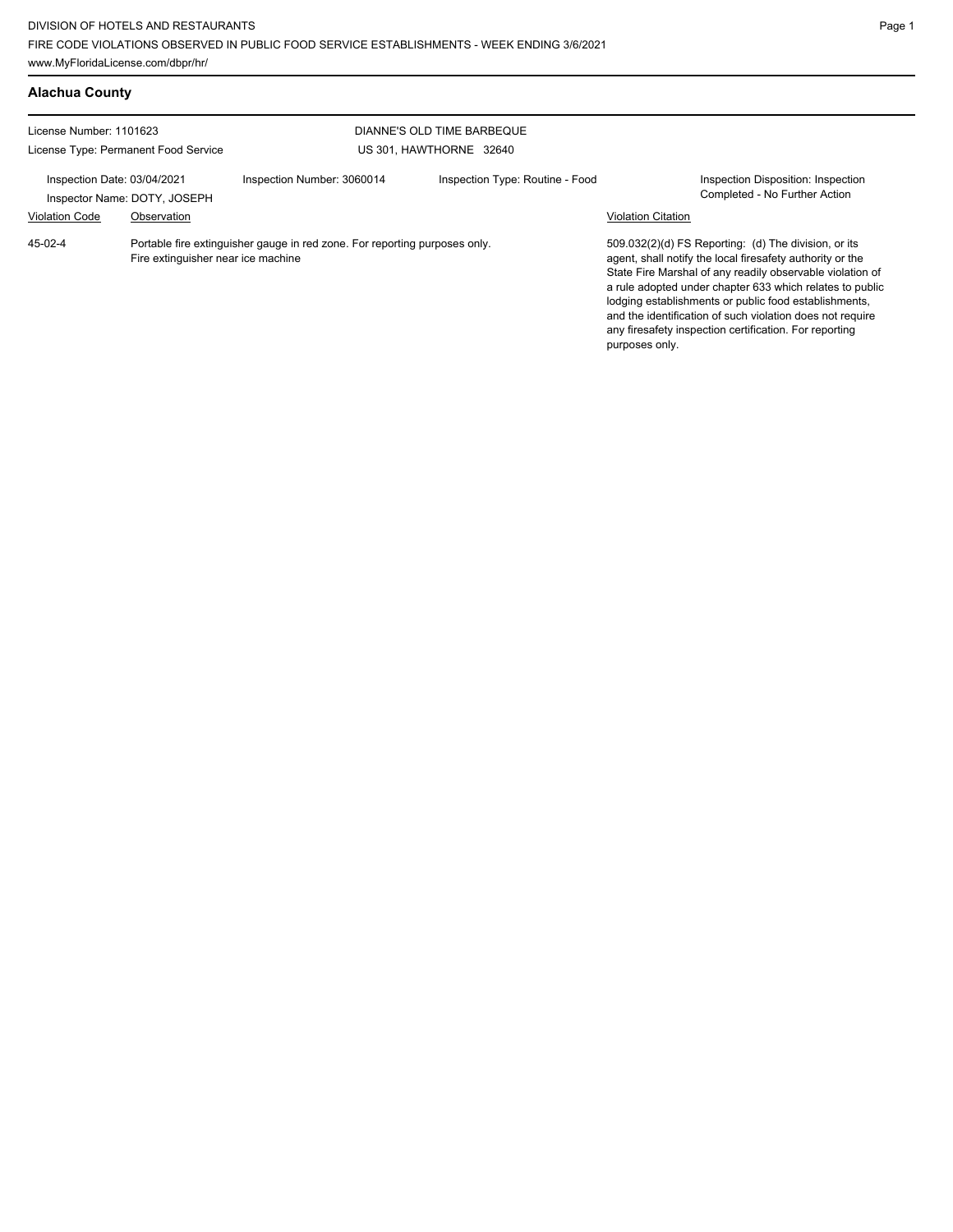| <b>Alachua County</b>                                                                                                          |             |                            |                                                       |                                                                                                                                                                                                                                                                                                                                                                    |                                                                     |
|--------------------------------------------------------------------------------------------------------------------------------|-------------|----------------------------|-------------------------------------------------------|--------------------------------------------------------------------------------------------------------------------------------------------------------------------------------------------------------------------------------------------------------------------------------------------------------------------------------------------------------------------|---------------------------------------------------------------------|
| License Number: 1101623<br>License Type: Permanent Food Service<br>Inspection Date: 03/04/2021<br>Inspector Name: DOTY, JOSEPH |             |                            | DIANNE'S OLD TIME BARBEQUE<br>US 301, HAWTHORNE 32640 |                                                                                                                                                                                                                                                                                                                                                                    |                                                                     |
|                                                                                                                                |             | Inspection Number: 3060014 | Inspection Type: Routine - Food                       |                                                                                                                                                                                                                                                                                                                                                                    | Inspection Disposition: Inspection<br>Completed - No Further Action |
| <b>Violation Code</b>                                                                                                          | Observation |                            |                                                       | <b>Violation Citation</b>                                                                                                                                                                                                                                                                                                                                          | 509.032(2)(d) FS Reporting: (d) The division, or its                |
| 45-02-4<br>Portable fire extinguisher gauge in red zone. For reporting purposes only.<br>Fire extinguisher near ice machine    |             |                            | purposes only.                                        | agent, shall notify the local firesafety authority or the<br>State Fire Marshal of any readily observable violation of<br>a rule adopted under chapter 633 which relates to public<br>lodging establishments or public food establishments.<br>and the identification of such violation does not require<br>any firesafety inspection certification. For reporting |                                                                     |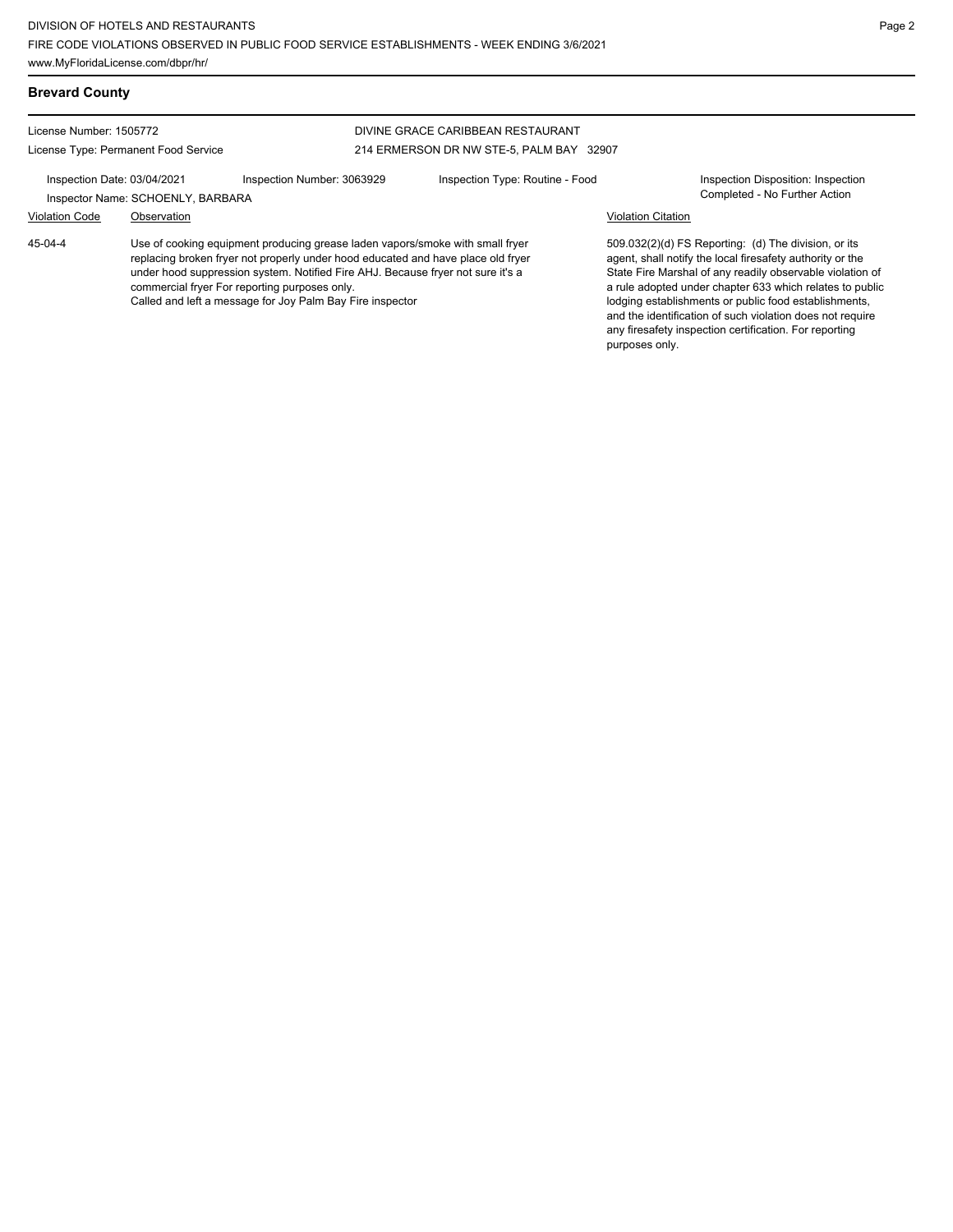License Number: 1505772

# License Type: Permanent Food Service

### DIVINE GRACE CARIBBEAN RESTAURANT 214 ERMERSON DR NW STE-5, PALM BAY 32907

Inspection Date: 03/04/2021 Inspection Number: 3063929 Inspection Type: Routine - Food Inspection Disposition: Inspection Inspector Name: SCHOENLY, BARBARA **Completed - No Further Action** 

## Violation Code Observation Violation Citation

Use of cooking equipment producing grease laden vapors/smoke with small fryer replacing broken fryer not properly under hood educated and have place old fryer under hood suppression system. Notified Fire AHJ. Because fryer not sure it's a commercial fryer For reporting purposes only. Called and left a message for Joy Palm Bay Fire inspector 45-04-4

509.032(2)(d) FS Reporting: (d) The division, or its agent, shall notify the local firesafety authority or the State Fire Marshal of any readily observable violation of a rule adopted under chapter 633 which relates to public lodging establishments or public food establishments, and the identification of such violation does not require any firesafety inspection certification. For reporting purposes only.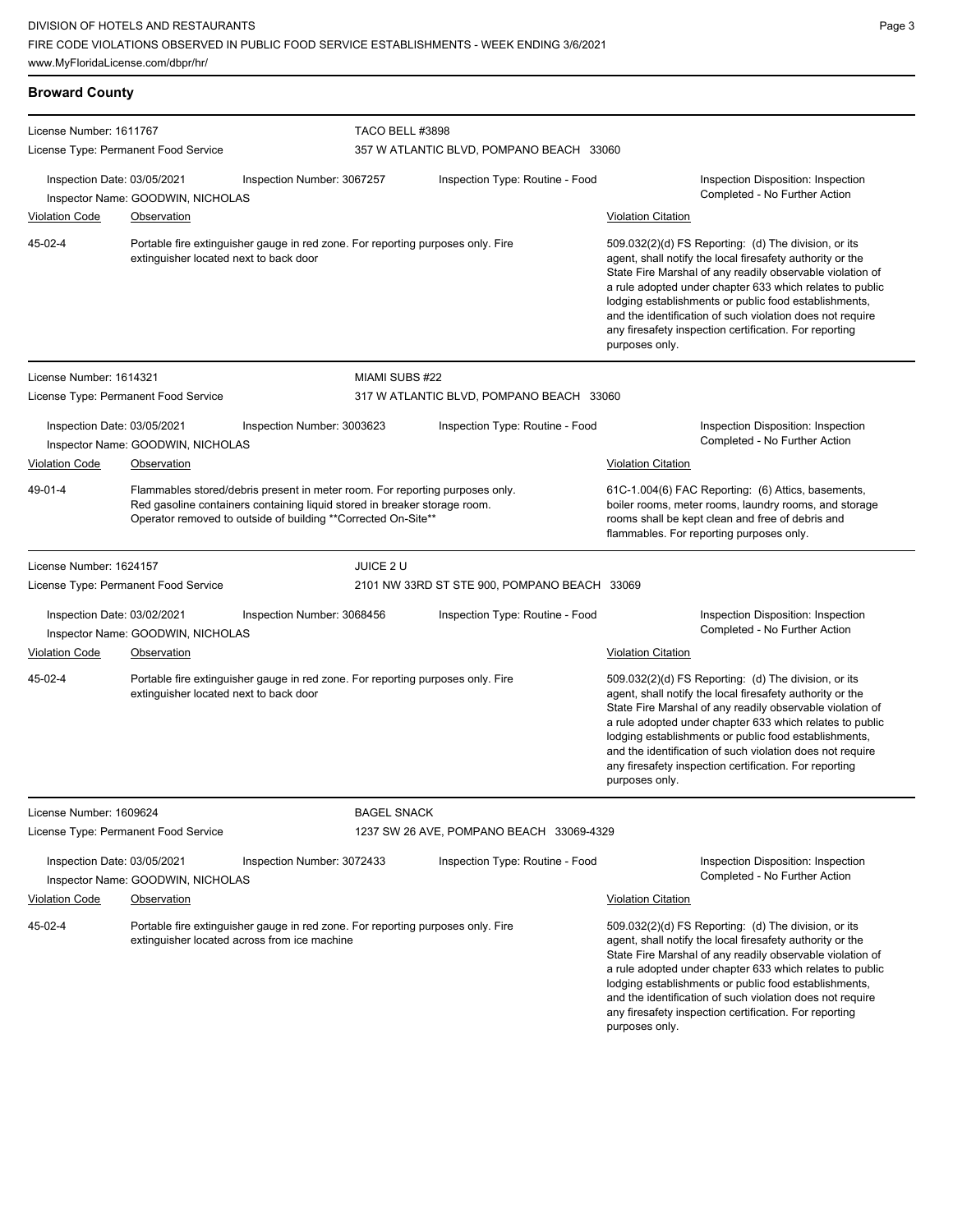| <b>Broward County</b>                                                                                                                                                                                                                 |                                                                  |                                                                                                                                 |                                              |                                                                     |                                                                                                                                                                                                                                                                                                                                                                                                                                              |  |  |
|---------------------------------------------------------------------------------------------------------------------------------------------------------------------------------------------------------------------------------------|------------------------------------------------------------------|---------------------------------------------------------------------------------------------------------------------------------|----------------------------------------------|---------------------------------------------------------------------|----------------------------------------------------------------------------------------------------------------------------------------------------------------------------------------------------------------------------------------------------------------------------------------------------------------------------------------------------------------------------------------------------------------------------------------------|--|--|
| License Number: 1611767                                                                                                                                                                                                               |                                                                  |                                                                                                                                 | TACO BELL #3898                              |                                                                     |                                                                                                                                                                                                                                                                                                                                                                                                                                              |  |  |
|                                                                                                                                                                                                                                       | License Type: Permanent Food Service                             |                                                                                                                                 | 357 W ATLANTIC BLVD, POMPANO BEACH 33060     |                                                                     |                                                                                                                                                                                                                                                                                                                                                                                                                                              |  |  |
|                                                                                                                                                                                                                                       | Inspection Date: 03/05/2021<br>Inspector Name: GOODWIN, NICHOLAS | Inspection Number: 3067257                                                                                                      |                                              | Inspection Type: Routine - Food                                     | Inspection Disposition: Inspection<br>Completed - No Further Action                                                                                                                                                                                                                                                                                                                                                                          |  |  |
| <b>Violation Code</b>                                                                                                                                                                                                                 | Observation                                                      |                                                                                                                                 |                                              |                                                                     | <b>Violation Citation</b>                                                                                                                                                                                                                                                                                                                                                                                                                    |  |  |
| 45-02-4<br>Portable fire extinguisher gauge in red zone. For reporting purposes only. Fire<br>extinguisher located next to back door                                                                                                  |                                                                  |                                                                                                                                 |                                              |                                                                     | 509.032(2)(d) FS Reporting: (d) The division, or its<br>agent, shall notify the local firesafety authority or the<br>State Fire Marshal of any readily observable violation of<br>a rule adopted under chapter 633 which relates to public<br>lodging establishments or public food establishments,<br>and the identification of such violation does not require<br>any firesafety inspection certification. For reporting<br>purposes only. |  |  |
| License Number: 1614321                                                                                                                                                                                                               |                                                                  |                                                                                                                                 | MIAMI SUBS #22                               |                                                                     |                                                                                                                                                                                                                                                                                                                                                                                                                                              |  |  |
|                                                                                                                                                                                                                                       | License Type: Permanent Food Service                             |                                                                                                                                 |                                              | 317 W ATLANTIC BLVD, POMPANO BEACH 33060                            |                                                                                                                                                                                                                                                                                                                                                                                                                                              |  |  |
| Inspection Date: 03/05/2021<br>Inspection Number: 3003623<br>Inspector Name: GOODWIN, NICHOLAS                                                                                                                                        |                                                                  |                                                                                                                                 | Inspection Type: Routine - Food              | Inspection Disposition: Inspection<br>Completed - No Further Action |                                                                                                                                                                                                                                                                                                                                                                                                                                              |  |  |
| <b>Violation Code</b>                                                                                                                                                                                                                 | Observation                                                      |                                                                                                                                 |                                              |                                                                     | <b>Violation Citation</b>                                                                                                                                                                                                                                                                                                                                                                                                                    |  |  |
| 49-01-4<br>Flammables stored/debris present in meter room. For reporting purposes only.<br>Red gasoline containers containing liquid stored in breaker storage room.<br>Operator removed to outside of building **Corrected On-Site** |                                                                  |                                                                                                                                 |                                              |                                                                     | 61C-1.004(6) FAC Reporting: (6) Attics, basements,<br>boiler rooms, meter rooms, laundry rooms, and storage<br>rooms shall be kept clean and free of debris and<br>flammables. For reporting purposes only.                                                                                                                                                                                                                                  |  |  |
| License Number: 1624157                                                                                                                                                                                                               |                                                                  |                                                                                                                                 | JUICE 2 U                                    |                                                                     |                                                                                                                                                                                                                                                                                                                                                                                                                                              |  |  |
|                                                                                                                                                                                                                                       | License Type: Permanent Food Service                             |                                                                                                                                 | 2101 NW 33RD ST STE 900, POMPANO BEACH 33069 |                                                                     |                                                                                                                                                                                                                                                                                                                                                                                                                                              |  |  |
|                                                                                                                                                                                                                                       | Inspection Date: 03/02/2021<br>Inspector Name: GOODWIN, NICHOLAS | Inspection Number: 3068456                                                                                                      |                                              | Inspection Type: Routine - Food                                     | Inspection Disposition: Inspection<br>Completed - No Further Action                                                                                                                                                                                                                                                                                                                                                                          |  |  |
| <b>Violation Code</b>                                                                                                                                                                                                                 | <b>Observation</b>                                               |                                                                                                                                 |                                              |                                                                     | <b>Violation Citation</b>                                                                                                                                                                                                                                                                                                                                                                                                                    |  |  |
| 45-02-4                                                                                                                                                                                                                               | extinguisher located next to back door                           | Portable fire extinguisher gauge in red zone. For reporting purposes only. Fire                                                 |                                              |                                                                     | 509.032(2)(d) FS Reporting: (d) The division, or its<br>agent, shall notify the local firesafety authority or the<br>State Fire Marshal of any readily observable violation of<br>a rule adopted under chapter 633 which relates to public<br>lodging establishments or public food establishments,<br>and the identification of such violation does not require<br>any firesafety inspection certification. For reporting<br>purposes only. |  |  |
| License Number: 1609624                                                                                                                                                                                                               |                                                                  |                                                                                                                                 | <b>BAGEL SNACK</b>                           |                                                                     |                                                                                                                                                                                                                                                                                                                                                                                                                                              |  |  |
| License Type: Permanent Food Service                                                                                                                                                                                                  |                                                                  |                                                                                                                                 | 1237 SW 26 AVE, POMPANO BEACH 33069-4329     |                                                                     |                                                                                                                                                                                                                                                                                                                                                                                                                                              |  |  |
| Inspection Date: 03/05/2021<br>Inspection Number: 3072433<br>Inspector Name: GOODWIN, NICHOLAS                                                                                                                                        |                                                                  |                                                                                                                                 | Inspection Type: Routine - Food              | Inspection Disposition: Inspection<br>Completed - No Further Action |                                                                                                                                                                                                                                                                                                                                                                                                                                              |  |  |
| <b>Violation Code</b>                                                                                                                                                                                                                 | Observation                                                      |                                                                                                                                 |                                              |                                                                     | <b>Violation Citation</b>                                                                                                                                                                                                                                                                                                                                                                                                                    |  |  |
| 45-02-4                                                                                                                                                                                                                               |                                                                  | Portable fire extinguisher gauge in red zone. For reporting purposes only. Fire<br>extinguisher located across from ice machine |                                              |                                                                     | 509.032(2)(d) FS Reporting: (d) The division, or its<br>agent, shall notify the local firesafety authority or the<br>State Fire Marshal of any readily observable violation of<br>a rule adopted under chapter 633 which relates to public<br>lodging establishments or public food establishments,<br>and the identification of such violation does not require<br>any firesafety inspection certification. For reporting<br>purposes only. |  |  |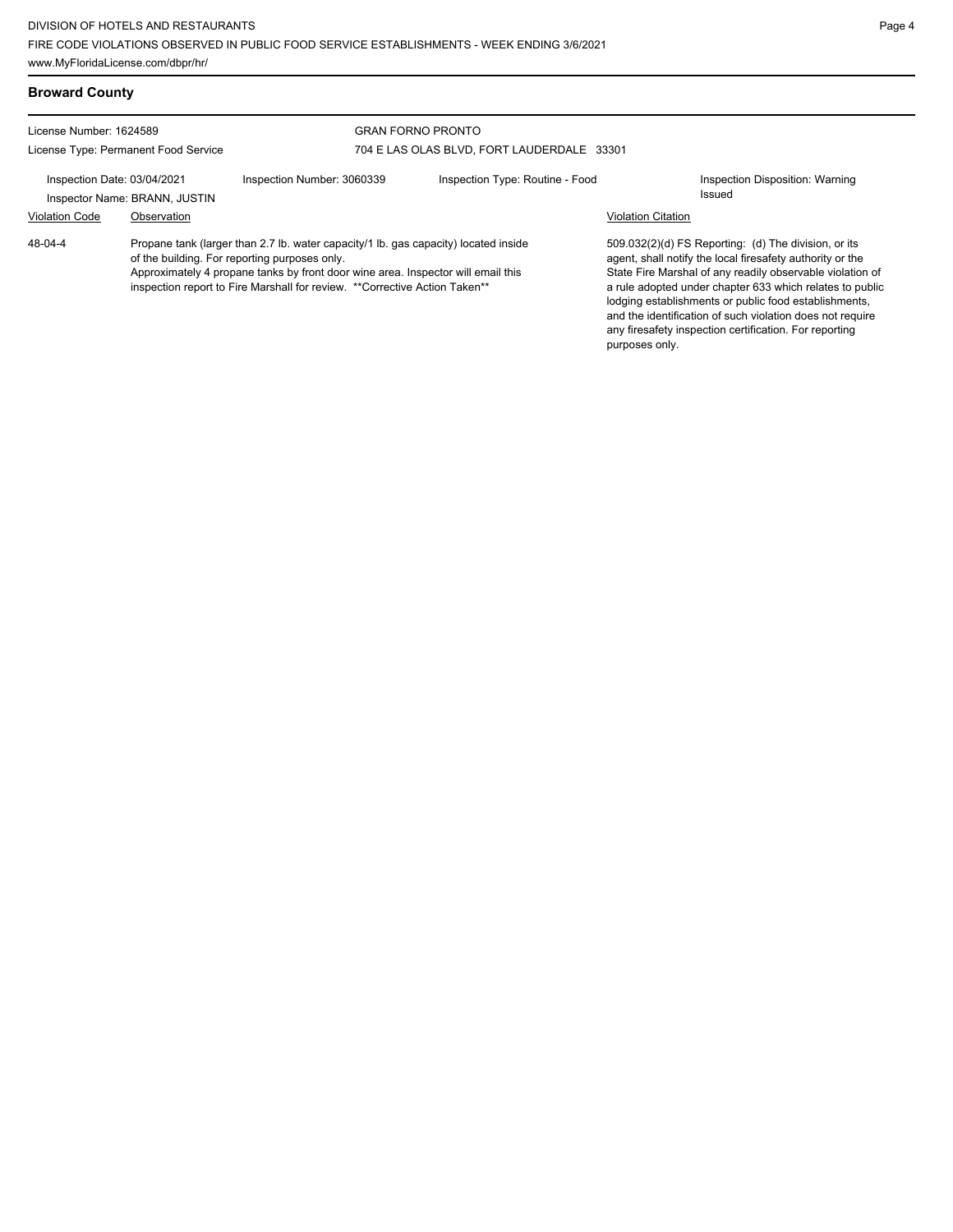| <b>Broward County</b>                                           |             |                                                                                                                                                                                                                                                                                                         |                                                                        |                           |                                                                                                                                                                                                                                                                                                                                                                                                                            |
|-----------------------------------------------------------------|-------------|---------------------------------------------------------------------------------------------------------------------------------------------------------------------------------------------------------------------------------------------------------------------------------------------------------|------------------------------------------------------------------------|---------------------------|----------------------------------------------------------------------------------------------------------------------------------------------------------------------------------------------------------------------------------------------------------------------------------------------------------------------------------------------------------------------------------------------------------------------------|
| License Number: 1624589<br>License Type: Permanent Food Service |             |                                                                                                                                                                                                                                                                                                         | <b>GRAN FORNO PRONTO</b><br>704 E LAS OLAS BLVD. FORT LAUDERDALE 33301 |                           |                                                                                                                                                                                                                                                                                                                                                                                                                            |
| Inspection Date: 03/04/2021<br>Inspector Name: BRANN, JUSTIN    |             | Inspection Number: 3060339                                                                                                                                                                                                                                                                              | Inspection Type: Routine - Food                                        |                           | Inspection Disposition: Warning<br>Issued                                                                                                                                                                                                                                                                                                                                                                                  |
| <b>Violation Code</b><br>$48 - 04 - 4$                          | Observation | Propane tank (larger than 2.7 lb. water capacity/1 lb. gas capacity) located inside<br>of the building. For reporting purposes only.<br>Approximately 4 propane tanks by front door wine area. Inspector will email this<br>inspection report to Fire Marshall for review. ** Corrective Action Taken** |                                                                        | <b>Violation Citation</b> | 509.032(2)(d) FS Reporting: (d) The division, or its<br>agent, shall notify the local firesafety authority or the<br>State Fire Marshal of any readily observable violation of<br>a rule adopted under chapter 633 which relates to public<br>lodging establishments or public food establishments,<br>and the identification of such violation does not require<br>any firesafety inspection certification. For reporting |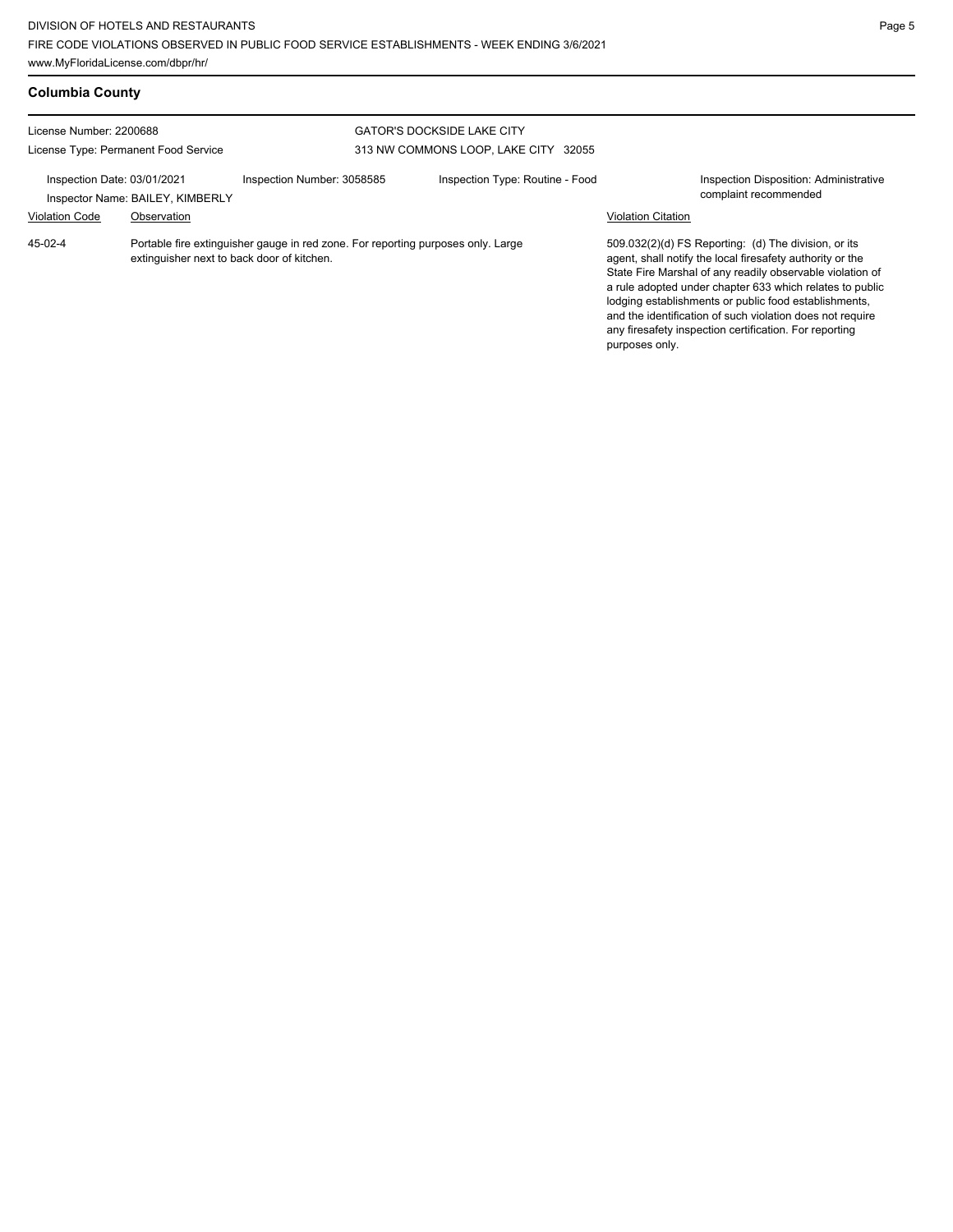| <b>Columbia County</b>                                          |                                                 |                                                                                  |                                                                           |                           |                                                                                                                                                                                                                                                                                                                                                                                                                            |
|-----------------------------------------------------------------|-------------------------------------------------|----------------------------------------------------------------------------------|---------------------------------------------------------------------------|---------------------------|----------------------------------------------------------------------------------------------------------------------------------------------------------------------------------------------------------------------------------------------------------------------------------------------------------------------------------------------------------------------------------------------------------------------------|
| License Number: 2200688<br>License Type: Permanent Food Service |                                                 |                                                                                  | <b>GATOR'S DOCKSIDE LAKE CITY</b><br>313 NW COMMONS LOOP, LAKE CITY 32055 |                           |                                                                                                                                                                                                                                                                                                                                                                                                                            |
| Inspection Date: 03/01/2021<br><b>Violation Code</b>            | Inspector Name: BAILEY, KIMBERLY<br>Observation | Inspection Number: 3058585                                                       | Inspection Type: Routine - Food                                           | <b>Violation Citation</b> | Inspection Disposition: Administrative<br>complaint recommended                                                                                                                                                                                                                                                                                                                                                            |
| 45-02-4                                                         | extinguisher next to back door of kitchen.      | Portable fire extinguisher gauge in red zone. For reporting purposes only. Large |                                                                           | purposes only.            | 509.032(2)(d) FS Reporting: (d) The division, or its<br>agent, shall notify the local firesafety authority or the<br>State Fire Marshal of any readily observable violation of<br>a rule adopted under chapter 633 which relates to public<br>lodging establishments or public food establishments,<br>and the identification of such violation does not require<br>any firesafety inspection certification. For reporting |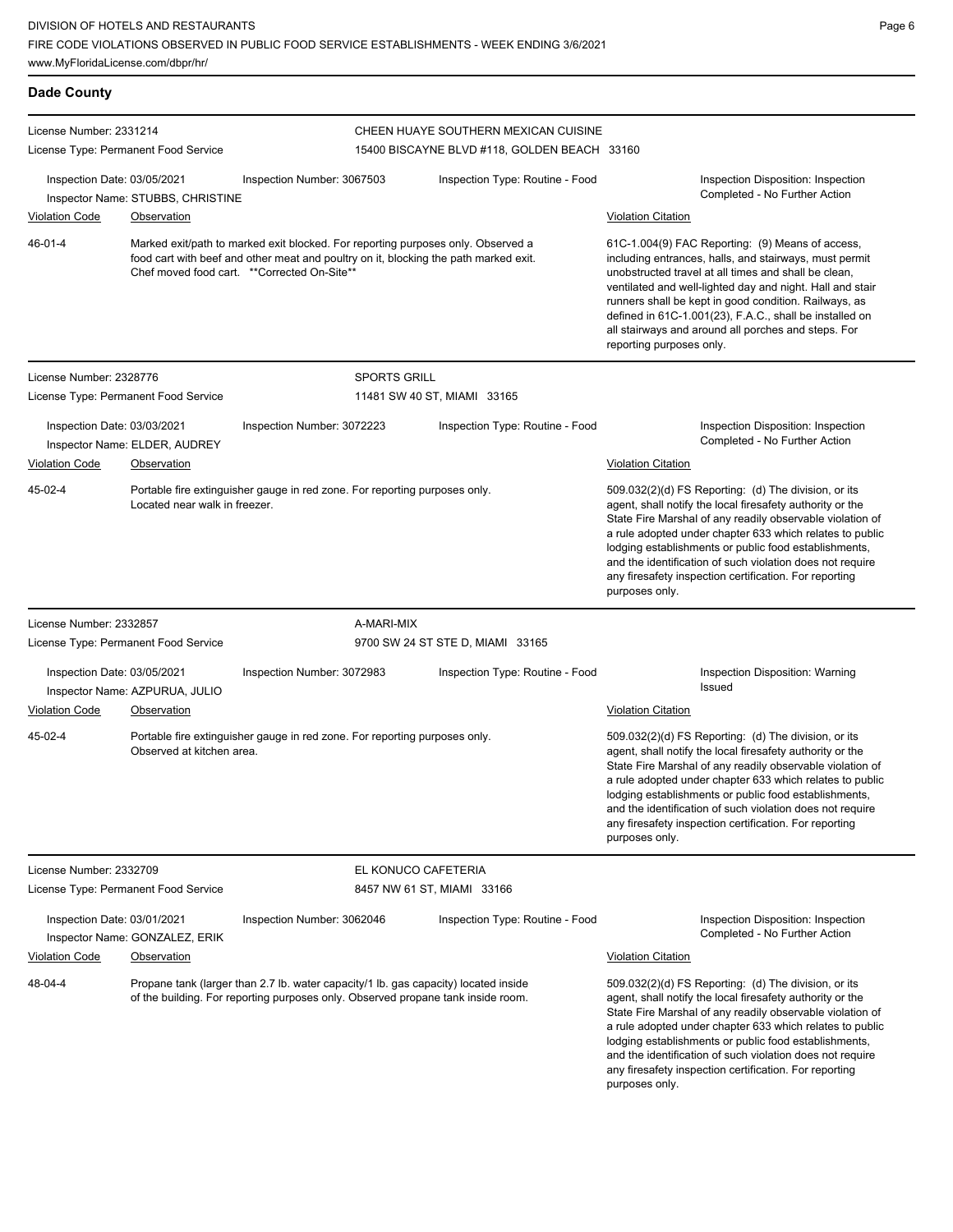| <b>Dade County</b>                                              |                                               |                                                                                                                                                                                                                         |                                              |                                                                                                                                                                                                                                                                                                                                                                                                                                              |
|-----------------------------------------------------------------|-----------------------------------------------|-------------------------------------------------------------------------------------------------------------------------------------------------------------------------------------------------------------------------|----------------------------------------------|----------------------------------------------------------------------------------------------------------------------------------------------------------------------------------------------------------------------------------------------------------------------------------------------------------------------------------------------------------------------------------------------------------------------------------------------|
| License Number: 2331214                                         |                                               |                                                                                                                                                                                                                         | CHEEN HUAYE SOUTHERN MEXICAN CUISINE         |                                                                                                                                                                                                                                                                                                                                                                                                                                              |
|                                                                 | License Type: Permanent Food Service          |                                                                                                                                                                                                                         | 15400 BISCAYNE BLVD #118, GOLDEN BEACH 33160 |                                                                                                                                                                                                                                                                                                                                                                                                                                              |
| Inspection Date: 03/05/2021                                     | Inspector Name: STUBBS, CHRISTINE             | Inspection Number: 3067503                                                                                                                                                                                              | Inspection Type: Routine - Food              | Inspection Disposition: Inspection<br>Completed - No Further Action                                                                                                                                                                                                                                                                                                                                                                          |
| <b>Violation Code</b>                                           | Observation                                   |                                                                                                                                                                                                                         |                                              | <b>Violation Citation</b>                                                                                                                                                                                                                                                                                                                                                                                                                    |
| $46 - 01 - 4$                                                   |                                               | Marked exit/path to marked exit blocked. For reporting purposes only. Observed a<br>food cart with beef and other meat and poultry on it, blocking the path marked exit.<br>Chef moved food cart. **Corrected On-Site** |                                              | 61C-1.004(9) FAC Reporting: (9) Means of access,<br>including entrances, halls, and stairways, must permit<br>unobstructed travel at all times and shall be clean,<br>ventilated and well-lighted day and night. Hall and stair<br>runners shall be kept in good condition. Railways, as<br>defined in 61C-1.001(23), F.A.C., shall be installed on<br>all stairways and around all porches and steps. For<br>reporting purposes only.       |
| License Number: 2328776                                         |                                               | <b>SPORTS GRILL</b>                                                                                                                                                                                                     |                                              |                                                                                                                                                                                                                                                                                                                                                                                                                                              |
|                                                                 | License Type: Permanent Food Service          |                                                                                                                                                                                                                         | 11481 SW 40 ST, MIAMI 33165                  |                                                                                                                                                                                                                                                                                                                                                                                                                                              |
| Inspection Date: 03/03/2021<br><b>Violation Code</b>            | Inspector Name: ELDER, AUDREY<br>Observation  | Inspection Number: 3072223                                                                                                                                                                                              | Inspection Type: Routine - Food              | Inspection Disposition: Inspection<br>Completed - No Further Action<br><b>Violation Citation</b>                                                                                                                                                                                                                                                                                                                                             |
| 45-02-4                                                         | Located near walk in freezer.                 | Portable fire extinguisher gauge in red zone. For reporting purposes only.                                                                                                                                              |                                              | 509.032(2)(d) FS Reporting: (d) The division, or its<br>agent, shall notify the local firesafety authority or the<br>State Fire Marshal of any readily observable violation of<br>a rule adopted under chapter 633 which relates to public<br>lodging establishments or public food establishments,<br>and the identification of such violation does not require<br>any firesafety inspection certification. For reporting<br>purposes only. |
| License Number: 2332857                                         |                                               | A-MARI-MIX                                                                                                                                                                                                              |                                              |                                                                                                                                                                                                                                                                                                                                                                                                                                              |
|                                                                 | License Type: Permanent Food Service          |                                                                                                                                                                                                                         | 9700 SW 24 ST STE D, MIAMI 33165             |                                                                                                                                                                                                                                                                                                                                                                                                                                              |
| Inspection Date: 03/05/2021<br><b>Violation Code</b>            | Inspector Name: AZPURUA, JULIO<br>Observation | Inspection Number: 3072983                                                                                                                                                                                              | Inspection Type: Routine - Food              | Inspection Disposition: Warning<br>Issued<br><b>Violation Citation</b>                                                                                                                                                                                                                                                                                                                                                                       |
| 45-02-4                                                         | Observed at kitchen area.                     | Portable fire extinguisher gauge in red zone. For reporting purposes only.                                                                                                                                              |                                              | 509.032(2)(d) FS Reporting: (d) The division, or its<br>agent, shall notify the local firesafety authority or the<br>State Fire Marshal of any readily observable violation of<br>a rule adopted under chapter 633 which relates to public<br>lodging establishments or public food establishments,<br>and the identification of such violation does not require<br>any firesafety inspection certification. For reporting<br>purposes only. |
| License Number: 2332709<br>License Type: Permanent Food Service |                                               |                                                                                                                                                                                                                         | EL KONUCO CAFETERIA                          |                                                                                                                                                                                                                                                                                                                                                                                                                                              |
|                                                                 |                                               |                                                                                                                                                                                                                         | 8457 NW 61 ST, MIAMI 33166                   |                                                                                                                                                                                                                                                                                                                                                                                                                                              |
| Inspection Date: 03/01/2021<br>Inspector Name: GONZALEZ, ERIK   |                                               | Inspection Number: 3062046<br>Inspection Type: Routine - Food                                                                                                                                                           |                                              | Inspection Disposition: Inspection<br>Completed - No Further Action                                                                                                                                                                                                                                                                                                                                                                          |
| <b>Violation Code</b>                                           | Observation                                   |                                                                                                                                                                                                                         |                                              | <b>Violation Citation</b>                                                                                                                                                                                                                                                                                                                                                                                                                    |
| 48-04-4                                                         |                                               | Propane tank (larger than 2.7 lb. water capacity/1 lb. gas capacity) located inside<br>of the building. For reporting purposes only. Observed propane tank inside room.                                                 |                                              | 509.032(2)(d) FS Reporting: (d) The division, or its<br>agent, shall notify the local firesafety authority or the<br>State Fire Marshal of any readily observable violation of<br>a rule adopted under chapter 633 which relates to public<br>lodging establishments or public food establishments,<br>and the identification of such violation does not require<br>any firesafety inspection certification. For reporting<br>purposes only. |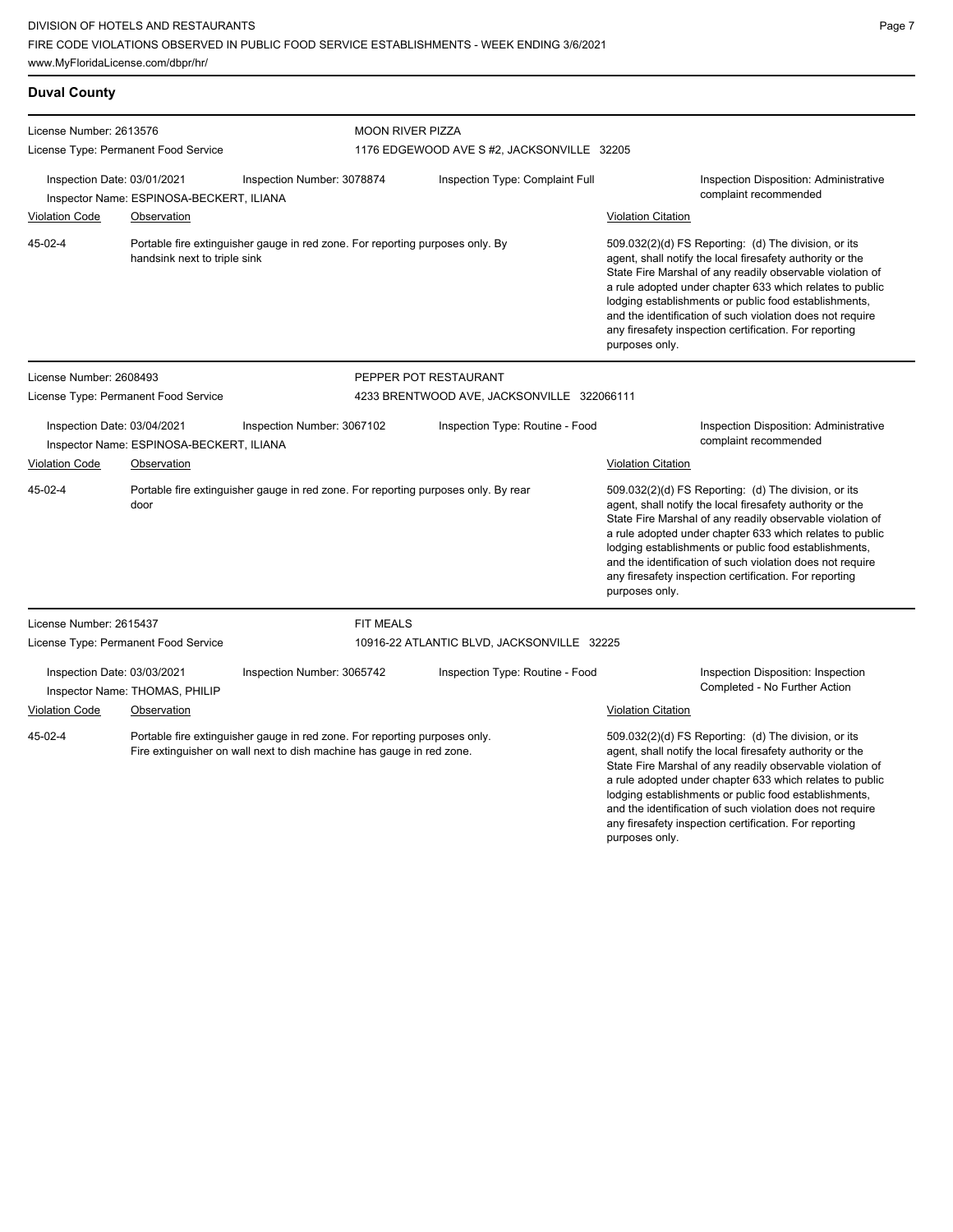| <b>Duval County</b>                                                                                   |                                      |                                                                                                                                                     |                                                                                    |                                                                 |                                                                                                                                                                                                                                                                                                                                                                                                                                              |  |  |  |
|-------------------------------------------------------------------------------------------------------|--------------------------------------|-----------------------------------------------------------------------------------------------------------------------------------------------------|------------------------------------------------------------------------------------|-----------------------------------------------------------------|----------------------------------------------------------------------------------------------------------------------------------------------------------------------------------------------------------------------------------------------------------------------------------------------------------------------------------------------------------------------------------------------------------------------------------------------|--|--|--|
| License Number: 2613576                                                                               | License Type: Permanent Food Service |                                                                                                                                                     |                                                                                    | <b>MOON RIVER PIZZA</b>                                         |                                                                                                                                                                                                                                                                                                                                                                                                                                              |  |  |  |
| Inspection Date: 03/01/2021<br>Inspection Number: 3078874<br>Inspector Name: ESPINOSA-BECKERT, ILIANA |                                      |                                                                                                                                                     | 1176 EDGEWOOD AVE S#2, JACKSONVILLE 32205<br>Inspection Type: Complaint Full       |                                                                 | Inspection Disposition: Administrative<br>complaint recommended                                                                                                                                                                                                                                                                                                                                                                              |  |  |  |
| <b>Violation Code</b>                                                                                 | Observation                          |                                                                                                                                                     |                                                                                    |                                                                 | <b>Violation Citation</b>                                                                                                                                                                                                                                                                                                                                                                                                                    |  |  |  |
| 45-02-4                                                                                               | handsink next to triple sink         |                                                                                                                                                     | Portable fire extinguisher gauge in red zone. For reporting purposes only. By      |                                                                 | 509.032(2)(d) FS Reporting: (d) The division, or its<br>agent, shall notify the local firesafety authority or the<br>State Fire Marshal of any readily observable violation of<br>a rule adopted under chapter 633 which relates to public<br>lodging establishments or public food establishments,<br>and the identification of such violation does not require<br>any firesafety inspection certification. For reporting<br>purposes only. |  |  |  |
| License Number: 2608493                                                                               |                                      |                                                                                                                                                     | PEPPER POT RESTAURANT                                                              |                                                                 |                                                                                                                                                                                                                                                                                                                                                                                                                                              |  |  |  |
| License Type: Permanent Food Service                                                                  |                                      |                                                                                                                                                     | 4233 BRENTWOOD AVE, JACKSONVILLE 322066111                                         |                                                                 |                                                                                                                                                                                                                                                                                                                                                                                                                                              |  |  |  |
| Inspection Date: 03/04/2021<br>Inspection Number: 3067102<br>Inspector Name: ESPINOSA-BECKERT, ILIANA |                                      | Inspection Type: Routine - Food                                                                                                                     |                                                                                    | Inspection Disposition: Administrative<br>complaint recommended |                                                                                                                                                                                                                                                                                                                                                                                                                                              |  |  |  |
| Violation Code                                                                                        | Observation                          |                                                                                                                                                     |                                                                                    |                                                                 | <b>Violation Citation</b>                                                                                                                                                                                                                                                                                                                                                                                                                    |  |  |  |
| 45-02-4                                                                                               | door                                 |                                                                                                                                                     | Portable fire extinguisher gauge in red zone. For reporting purposes only. By rear |                                                                 | 509.032(2)(d) FS Reporting: (d) The division, or its<br>agent, shall notify the local firesafety authority or the<br>State Fire Marshal of any readily observable violation of<br>a rule adopted under chapter 633 which relates to public<br>lodging establishments or public food establishments,<br>and the identification of such violation does not require<br>any firesafety inspection certification. For reporting<br>purposes only. |  |  |  |
| License Number: 2615437                                                                               |                                      |                                                                                                                                                     | <b>FIT MEALS</b>                                                                   |                                                                 |                                                                                                                                                                                                                                                                                                                                                                                                                                              |  |  |  |
|                                                                                                       | License Type: Permanent Food Service |                                                                                                                                                     | 10916-22 ATLANTIC BLVD, JACKSONVILLE 32225                                         |                                                                 |                                                                                                                                                                                                                                                                                                                                                                                                                                              |  |  |  |
| Inspection Date: 03/03/2021<br>Inspector Name: THOMAS, PHILIP                                         |                                      | Inspection Number: 3065742                                                                                                                          | Inspection Type: Routine - Food                                                    |                                                                 | Inspection Disposition: Inspection<br>Completed - No Further Action                                                                                                                                                                                                                                                                                                                                                                          |  |  |  |
| <b>Violation Code</b>                                                                                 | Observation                          |                                                                                                                                                     |                                                                                    |                                                                 | <b>Violation Citation</b>                                                                                                                                                                                                                                                                                                                                                                                                                    |  |  |  |
| 45-02-4                                                                                               |                                      | Portable fire extinguisher gauge in red zone. For reporting purposes only.<br>Fire extinguisher on wall next to dish machine has gauge in red zone. |                                                                                    |                                                                 | 509.032(2)(d) FS Reporting: (d) The division, or its<br>agent, shall notify the local firesafety authority or the<br>State Fire Marshal of any readily observable violation of<br>a rule adopted under chapter 633 which relates to public<br>lodging establishments or public food establishments,                                                                                                                                          |  |  |  |

and the identification of such violation does not require any firesafety inspection certification. For reporting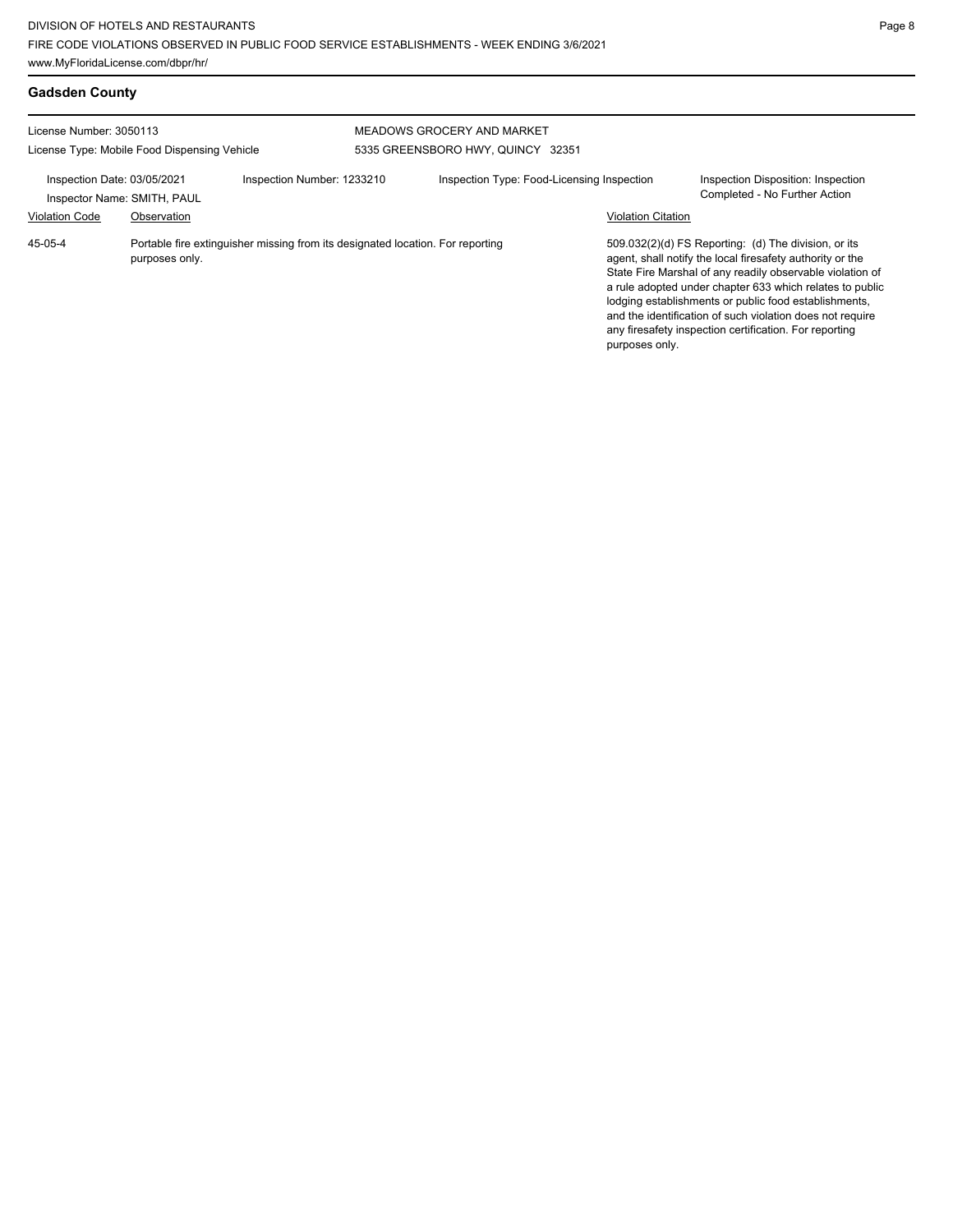**Gadsden County**

| License Number: 3050113                                                                  |                |                                                                                | MEADOWS GROCERY AND MARKET        |                                                                     |                                                                                                                                                                                                                                                                                                                                                                                                                            |  |
|------------------------------------------------------------------------------------------|----------------|--------------------------------------------------------------------------------|-----------------------------------|---------------------------------------------------------------------|----------------------------------------------------------------------------------------------------------------------------------------------------------------------------------------------------------------------------------------------------------------------------------------------------------------------------------------------------------------------------------------------------------------------------|--|
| License Type: Mobile Food Dispensing Vehicle                                             |                |                                                                                | 5335 GREENSBORO HWY, QUINCY 32351 |                                                                     |                                                                                                                                                                                                                                                                                                                                                                                                                            |  |
| Inspection Date: 03/05/2021<br>Inspection Number: 1233210<br>Inspector Name: SMITH, PAUL |                | Inspection Type: Food-Licensing Inspection                                     |                                   | Inspection Disposition: Inspection<br>Completed - No Further Action |                                                                                                                                                                                                                                                                                                                                                                                                                            |  |
| <b>Violation Code</b>                                                                    | Observation    |                                                                                |                                   | <b>Violation Citation</b>                                           |                                                                                                                                                                                                                                                                                                                                                                                                                            |  |
| 45-05-4                                                                                  | purposes only. | Portable fire extinguisher missing from its designated location. For reporting |                                   | purposes only.                                                      | 509.032(2)(d) FS Reporting: (d) The division, or its<br>agent, shall notify the local firesafety authority or the<br>State Fire Marshal of any readily observable violation of<br>a rule adopted under chapter 633 which relates to public<br>lodging establishments or public food establishments,<br>and the identification of such violation does not require<br>any firesafety inspection certification. For reporting |  |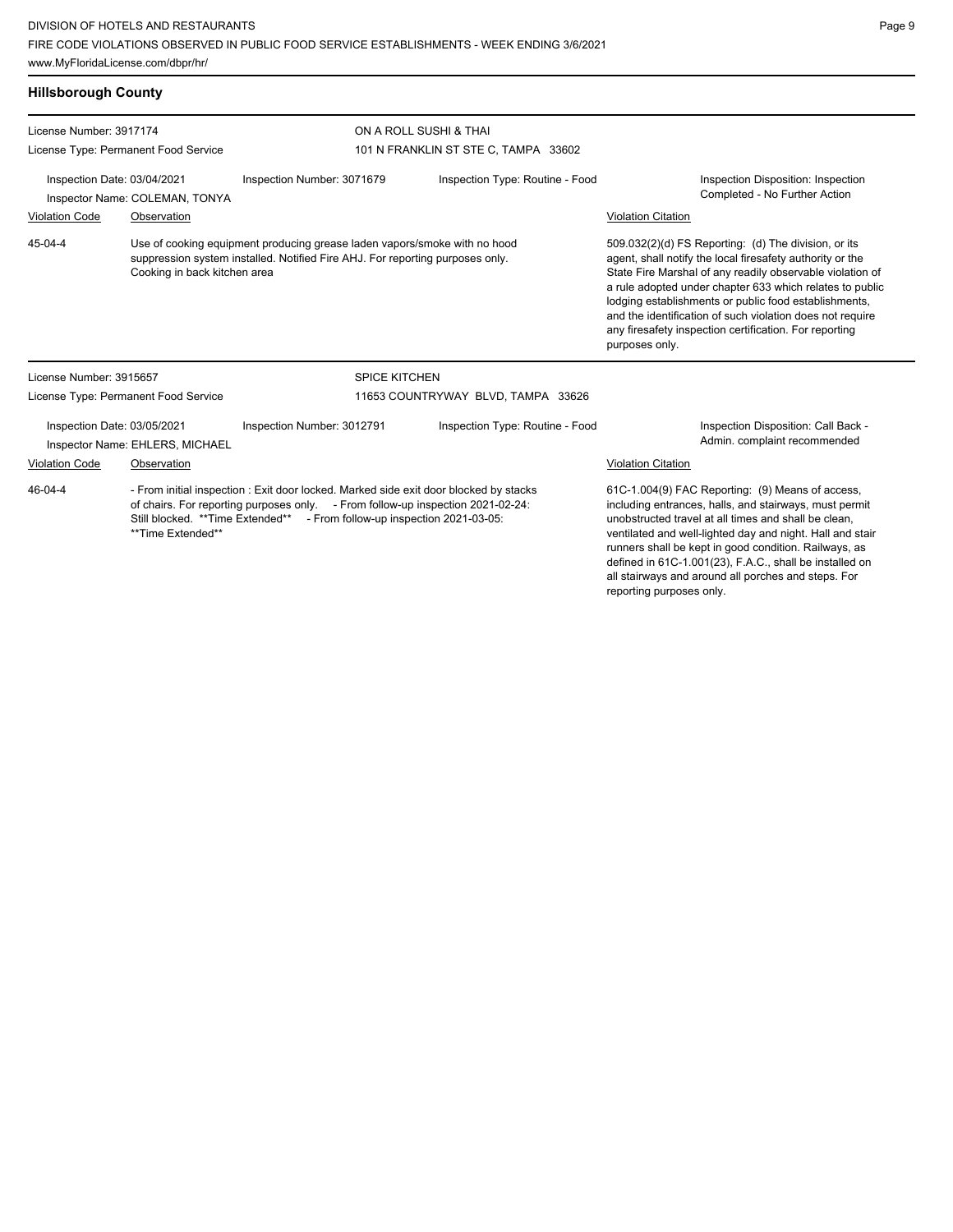| <b>Hillsborough County</b>                                     |                                                                                                                                                                                                                                                                               |                                                               |                                                                                                                                                                                                                                                                                                                                                     |                                                                                                                                                                                                                                                                                                                                                                                                                                              |
|----------------------------------------------------------------|-------------------------------------------------------------------------------------------------------------------------------------------------------------------------------------------------------------------------------------------------------------------------------|---------------------------------------------------------------|-----------------------------------------------------------------------------------------------------------------------------------------------------------------------------------------------------------------------------------------------------------------------------------------------------------------------------------------------------|----------------------------------------------------------------------------------------------------------------------------------------------------------------------------------------------------------------------------------------------------------------------------------------------------------------------------------------------------------------------------------------------------------------------------------------------|
| License Number: 3917174                                        |                                                                                                                                                                                                                                                                               |                                                               | ON A ROLL SUSHI & THAI                                                                                                                                                                                                                                                                                                                              |                                                                                                                                                                                                                                                                                                                                                                                                                                              |
|                                                                | License Type: Permanent Food Service                                                                                                                                                                                                                                          |                                                               | 101 N FRANKLIN ST STE C, TAMPA 33602                                                                                                                                                                                                                                                                                                                |                                                                                                                                                                                                                                                                                                                                                                                                                                              |
| Inspection Date: 03/04/2021<br>Inspector Name: COLEMAN, TONYA  |                                                                                                                                                                                                                                                                               | Inspection Type: Routine - Food<br>Inspection Number: 3071679 |                                                                                                                                                                                                                                                                                                                                                     | Inspection Disposition: Inspection<br>Completed - No Further Action                                                                                                                                                                                                                                                                                                                                                                          |
| <b>Violation Code</b>                                          | Observation                                                                                                                                                                                                                                                                   |                                                               |                                                                                                                                                                                                                                                                                                                                                     | <b>Violation Citation</b>                                                                                                                                                                                                                                                                                                                                                                                                                    |
| 45-04-4                                                        | Use of cooking equipment producing grease laden vapors/smoke with no hood<br>suppression system installed. Notified Fire AHJ. For reporting purposes only.<br>Cooking in back kitchen area                                                                                    |                                                               |                                                                                                                                                                                                                                                                                                                                                     | 509.032(2)(d) FS Reporting: (d) The division, or its<br>agent, shall notify the local firesafety authority or the<br>State Fire Marshal of any readily observable violation of<br>a rule adopted under chapter 633 which relates to public<br>lodging establishments or public food establishments,<br>and the identification of such violation does not require<br>any firesafety inspection certification. For reporting<br>purposes only. |
| License Number: 3915657                                        |                                                                                                                                                                                                                                                                               | <b>SPICE KITCHEN</b>                                          |                                                                                                                                                                                                                                                                                                                                                     |                                                                                                                                                                                                                                                                                                                                                                                                                                              |
|                                                                | License Type: Permanent Food Service                                                                                                                                                                                                                                          |                                                               | 11653 COUNTRYWAY BLVD, TAMPA 33626                                                                                                                                                                                                                                                                                                                  |                                                                                                                                                                                                                                                                                                                                                                                                                                              |
| Inspection Date: 03/05/2021<br>Inspector Name: EHLERS, MICHAEL |                                                                                                                                                                                                                                                                               | Inspection Number: 3012791                                    | Inspection Type: Routine - Food                                                                                                                                                                                                                                                                                                                     | Inspection Disposition: Call Back -<br>Admin. complaint recommended                                                                                                                                                                                                                                                                                                                                                                          |
| <b>Violation Code</b>                                          | Observation                                                                                                                                                                                                                                                                   |                                                               |                                                                                                                                                                                                                                                                                                                                                     | <b>Violation Citation</b>                                                                                                                                                                                                                                                                                                                                                                                                                    |
| 46-04-4                                                        | - From initial inspection : Exit door locked. Marked side exit door blocked by stacks<br>of chairs. For reporting purposes only. - From follow-up inspection 2021-02-24:<br>Still blocked. ** Time Extended**<br>- From follow-up inspection 2021-03-05:<br>**Time Extended** |                                                               | 61C-1.004(9) FAC Reporting: (9) Means of access,<br>including entrances, halls, and stairways, must permit<br>unobstructed travel at all times and shall be clean.<br>ventilated and well-lighted day and night. Hall and stair<br>runners shall be kept in good condition. Railways, as<br>defined in 61C-1.001(23), F.A.C., shall be installed on |                                                                                                                                                                                                                                                                                                                                                                                                                                              |

all stairways and around all porches and steps. For

reporting purposes only.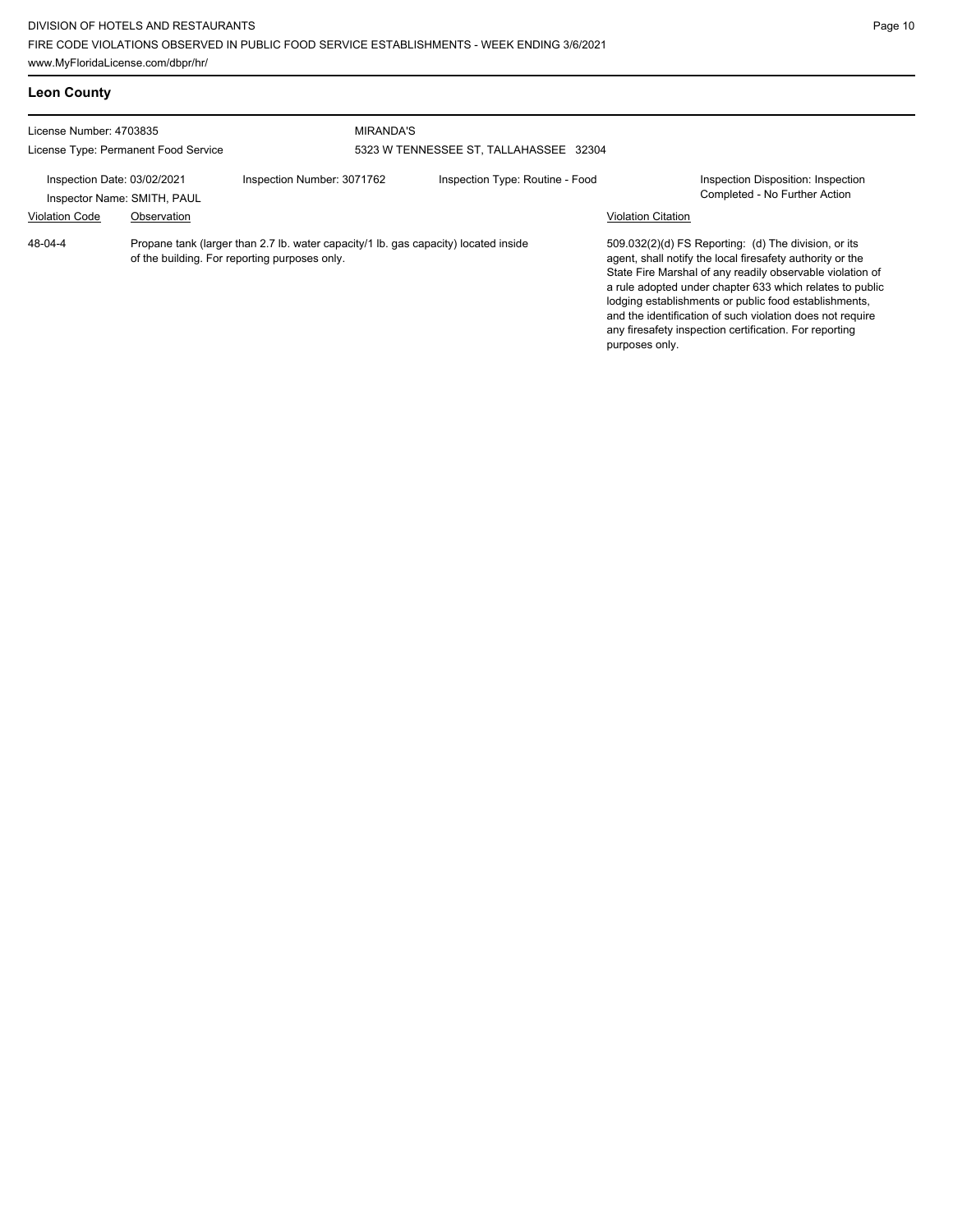| <b>Leon County</b>                                                                                                                              |             |                            |                                        |                                                                                                                                                                                                                                                                                                                                                                                                                            |                                                                     |
|-------------------------------------------------------------------------------------------------------------------------------------------------|-------------|----------------------------|----------------------------------------|----------------------------------------------------------------------------------------------------------------------------------------------------------------------------------------------------------------------------------------------------------------------------------------------------------------------------------------------------------------------------------------------------------------------------|---------------------------------------------------------------------|
| License Number: 4703835<br>License Type: Permanent Food Service                                                                                 |             | <b>MIRANDA'S</b>           | 5323 W TENNESSEE ST, TALLAHASSEE 32304 |                                                                                                                                                                                                                                                                                                                                                                                                                            |                                                                     |
| Inspection Date: 03/02/2021<br>Inspector Name: SMITH, PAUL<br><b>Violation Code</b>                                                             | Observation | Inspection Number: 3071762 | Inspection Type: Routine - Food        | <b>Violation Citation</b>                                                                                                                                                                                                                                                                                                                                                                                                  | Inspection Disposition: Inspection<br>Completed - No Further Action |
| 48-04-4<br>Propane tank (larger than 2.7 lb. water capacity/1 lb. gas capacity) located inside<br>of the building. For reporting purposes only. |             |                            | purposes only.                         | 509.032(2)(d) FS Reporting: (d) The division, or its<br>agent, shall notify the local firesafety authority or the<br>State Fire Marshal of any readily observable violation of<br>a rule adopted under chapter 633 which relates to public<br>lodging establishments or public food establishments,<br>and the identification of such violation does not require<br>any firesafety inspection certification. For reporting |                                                                     |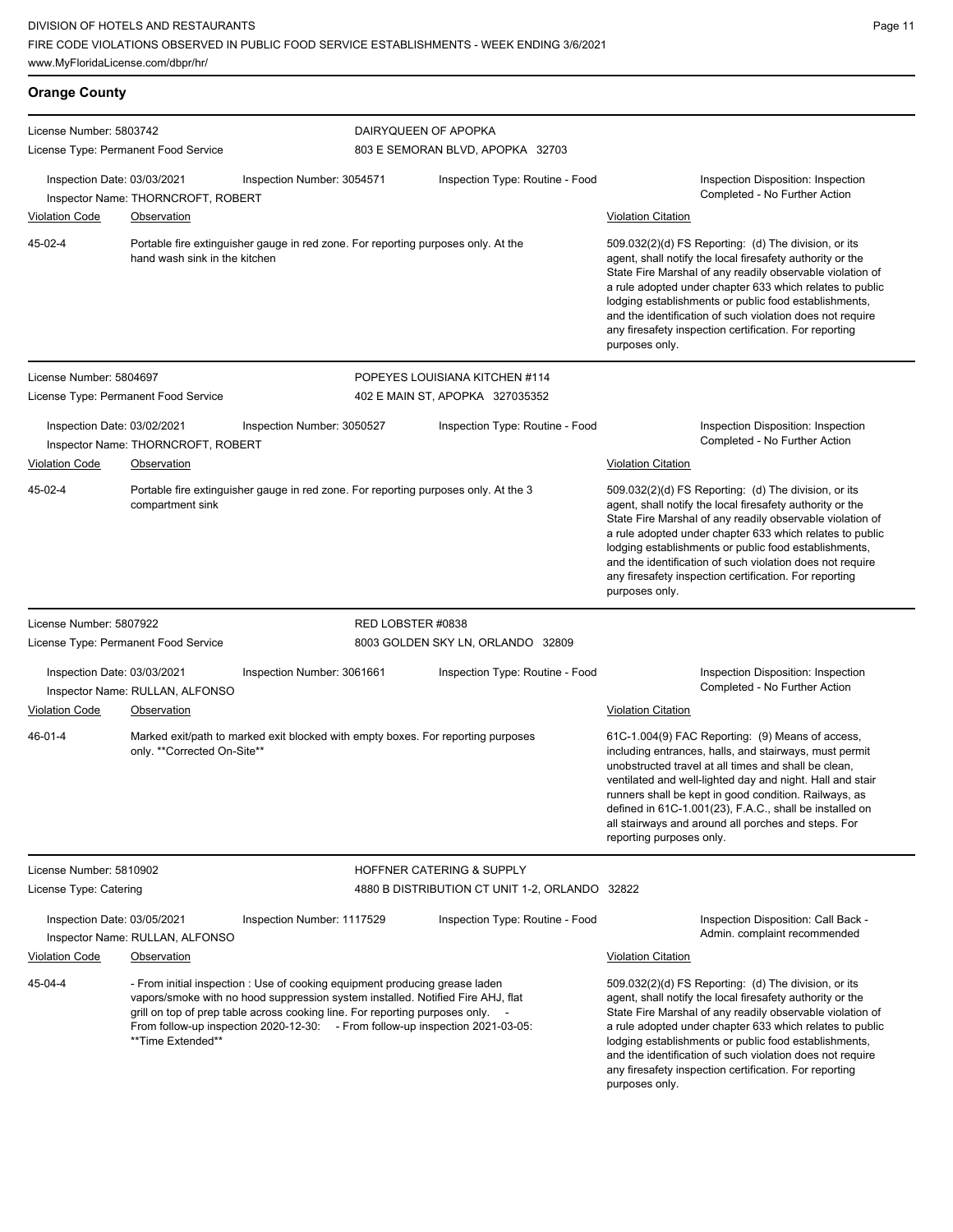| <b>Orange County</b>                                                                                                          |                                      |                                                                                                                                                                                                                                                |                                                                                     |                                                                                                                                                                                                                                                                                                                                                                                                                                              |
|-------------------------------------------------------------------------------------------------------------------------------|--------------------------------------|------------------------------------------------------------------------------------------------------------------------------------------------------------------------------------------------------------------------------------------------|-------------------------------------------------------------------------------------|----------------------------------------------------------------------------------------------------------------------------------------------------------------------------------------------------------------------------------------------------------------------------------------------------------------------------------------------------------------------------------------------------------------------------------------------|
| License Number: 5803742                                                                                                       | License Type: Permanent Food Service |                                                                                                                                                                                                                                                | DAIRYQUEEN OF APOPKA<br>803 E SEMORAN BLVD, APOPKA 32703                            |                                                                                                                                                                                                                                                                                                                                                                                                                                              |
| Inspection Date: 03/03/2021                                                                                                   | Inspector Name: THORNCROFT, ROBERT   | Inspection Number: 3054571                                                                                                                                                                                                                     | Inspection Type: Routine - Food                                                     | Inspection Disposition: Inspection<br>Completed - No Further Action                                                                                                                                                                                                                                                                                                                                                                          |
| <b>Violation Code</b>                                                                                                         | Observation                          |                                                                                                                                                                                                                                                |                                                                                     | <b>Violation Citation</b>                                                                                                                                                                                                                                                                                                                                                                                                                    |
| 45-02-4<br>Portable fire extinguisher gauge in red zone. For reporting purposes only. At the<br>hand wash sink in the kitchen |                                      |                                                                                                                                                                                                                                                |                                                                                     | 509.032(2)(d) FS Reporting: (d) The division, or its<br>agent, shall notify the local firesafety authority or the<br>State Fire Marshal of any readily observable violation of<br>a rule adopted under chapter 633 which relates to public<br>lodging establishments or public food establishments,<br>and the identification of such violation does not require<br>any firesafety inspection certification. For reporting<br>purposes only. |
| License Number: 5804697                                                                                                       |                                      |                                                                                                                                                                                                                                                | POPEYES LOUISIANA KITCHEN #114                                                      |                                                                                                                                                                                                                                                                                                                                                                                                                                              |
| License Type: Permanent Food Service                                                                                          |                                      |                                                                                                                                                                                                                                                | 402 E MAIN ST, APOPKA 327035352                                                     |                                                                                                                                                                                                                                                                                                                                                                                                                                              |
| Inspection Date: 03/02/2021                                                                                                   | Inspector Name: THORNCROFT, ROBERT   | Inspection Number: 3050527                                                                                                                                                                                                                     | Inspection Type: Routine - Food                                                     | Inspection Disposition: Inspection<br>Completed - No Further Action                                                                                                                                                                                                                                                                                                                                                                          |
| <b>Violation Code</b>                                                                                                         | <b>Observation</b>                   |                                                                                                                                                                                                                                                |                                                                                     | <b>Violation Citation</b>                                                                                                                                                                                                                                                                                                                                                                                                                    |
| 45-02-4                                                                                                                       | compartment sink                     |                                                                                                                                                                                                                                                | Portable fire extinguisher gauge in red zone. For reporting purposes only. At the 3 | 509.032(2)(d) FS Reporting: (d) The division, or its<br>agent, shall notify the local firesafety authority or the<br>State Fire Marshal of any readily observable violation of<br>a rule adopted under chapter 633 which relates to public<br>lodging establishments or public food establishments,<br>and the identification of such violation does not require<br>any firesafety inspection certification. For reporting<br>purposes only. |
| License Number: 5807922                                                                                                       |                                      |                                                                                                                                                                                                                                                | RED LOBSTER #0838                                                                   |                                                                                                                                                                                                                                                                                                                                                                                                                                              |
| License Type: Permanent Food Service                                                                                          |                                      |                                                                                                                                                                                                                                                | 8003 GOLDEN SKY LN, ORLANDO 32809                                                   |                                                                                                                                                                                                                                                                                                                                                                                                                                              |
| Inspection Date: 03/03/2021                                                                                                   | Inspector Name: RULLAN, ALFONSO      | Inspection Number: 3061661                                                                                                                                                                                                                     | Inspection Type: Routine - Food                                                     | Inspection Disposition: Inspection<br>Completed - No Further Action                                                                                                                                                                                                                                                                                                                                                                          |
| <b>Violation Code</b>                                                                                                         | Observation                          |                                                                                                                                                                                                                                                |                                                                                     | <b>Violation Citation</b>                                                                                                                                                                                                                                                                                                                                                                                                                    |
| 46-01-4                                                                                                                       | only. **Corrected On-Site**          |                                                                                                                                                                                                                                                | Marked exit/path to marked exit blocked with empty boxes. For reporting purposes    | 61C-1.004(9) FAC Reporting: (9) Means of access,<br>including entrances, halls, and stairways, must permit<br>unobstructed travel at all times and shall be clean,<br>ventilated and well-lighted day and night. Hall and stair<br>runners shall be kept in good condition. Railways, as<br>defined in 61C-1.001(23), F.A.C., shall be installed on<br>all stairways and around all porches and steps. For<br>reporting purposes only.       |
| License Number: 5810902                                                                                                       |                                      |                                                                                                                                                                                                                                                | <b>HOFFNER CATERING &amp; SUPPLY</b>                                                |                                                                                                                                                                                                                                                                                                                                                                                                                                              |
| License Type: Catering                                                                                                        |                                      |                                                                                                                                                                                                                                                | 4880 B DISTRIBUTION CT UNIT 1-2, ORLANDO 32822                                      |                                                                                                                                                                                                                                                                                                                                                                                                                                              |
| Inspection Date: 03/05/2021                                                                                                   | Inspector Name: RULLAN, ALFONSO      | Inspection Number: 1117529                                                                                                                                                                                                                     | Inspection Type: Routine - Food                                                     | Inspection Disposition: Call Back -<br>Admin. complaint recommended                                                                                                                                                                                                                                                                                                                                                                          |
| <b>Violation Code</b>                                                                                                         | Observation                          |                                                                                                                                                                                                                                                |                                                                                     | <b>Violation Citation</b>                                                                                                                                                                                                                                                                                                                                                                                                                    |
| 45-04-4                                                                                                                       | **Time Extended**                    | - From initial inspection : Use of cooking equipment producing grease laden<br>vapors/smoke with no hood suppression system installed. Notified Fire AHJ, flat<br>grill on top of prep table across cooking line. For reporting purposes only. | From follow-up inspection 2020-12-30: - From follow-up inspection 2021-03-05:       | 509.032(2)(d) FS Reporting: (d) The division, or its<br>agent, shall notify the local firesafety authority or the<br>State Fire Marshal of any readily observable violation of<br>a rule adopted under chapter 633 which relates to public<br>lodging establishments or public food establishments,<br>and the identification of such violation does not require<br>any firesafety inspection certification. For reporting                   |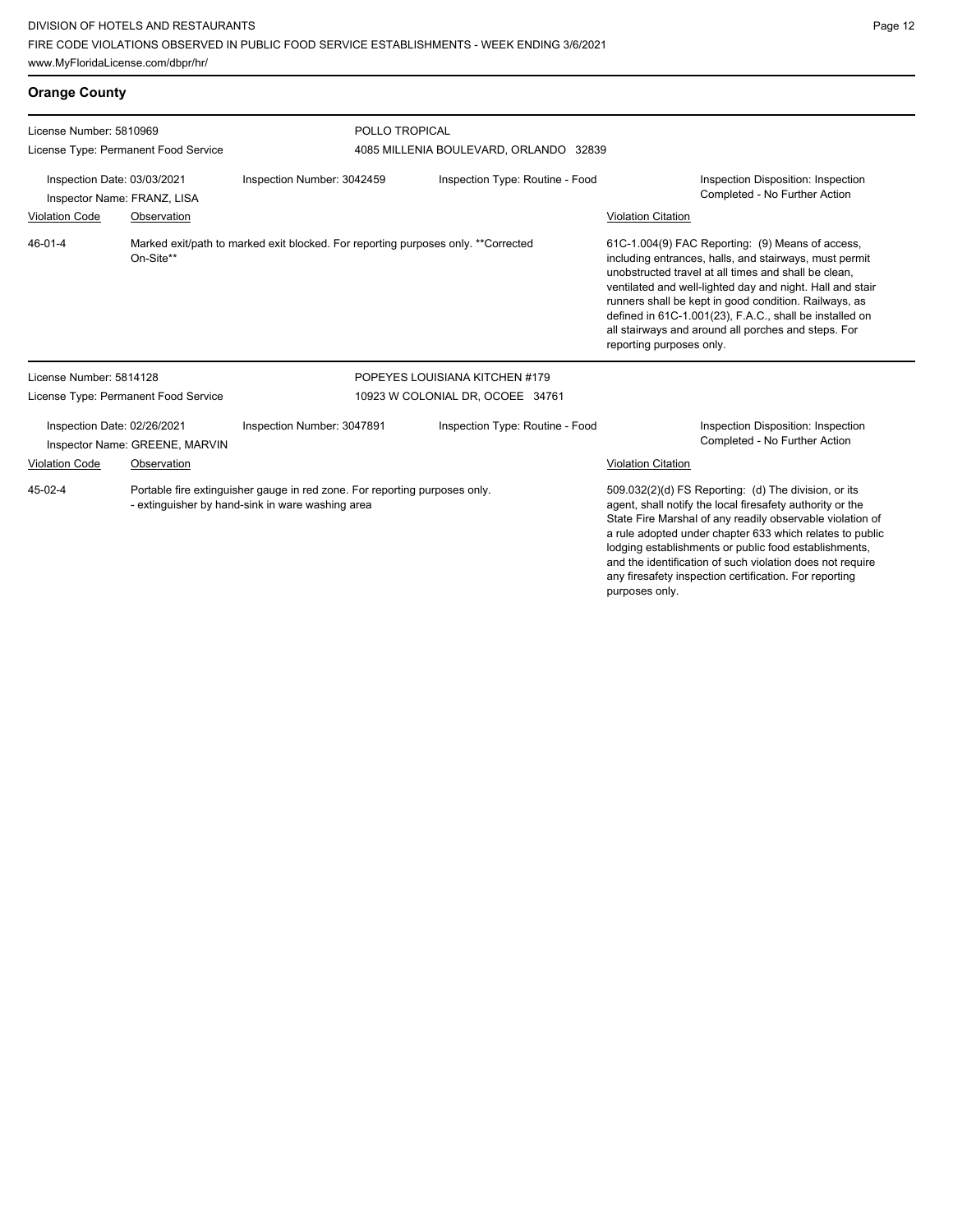www.MyFloridaLicense.com/dbpr/hr/

any firesafety inspection certification. For reporting

| <b>Orange County</b>                                                                                      |             |                                                                                                                                |                                                                                                                                                                                                                                                                                                                                                                  |                                                                                                                                                                                                                                                                                                                                                                                                                                        |  |
|-----------------------------------------------------------------------------------------------------------|-------------|--------------------------------------------------------------------------------------------------------------------------------|------------------------------------------------------------------------------------------------------------------------------------------------------------------------------------------------------------------------------------------------------------------------------------------------------------------------------------------------------------------|----------------------------------------------------------------------------------------------------------------------------------------------------------------------------------------------------------------------------------------------------------------------------------------------------------------------------------------------------------------------------------------------------------------------------------------|--|
| License Number: 5810969                                                                                   |             | POLLO TROPICAL                                                                                                                 |                                                                                                                                                                                                                                                                                                                                                                  |                                                                                                                                                                                                                                                                                                                                                                                                                                        |  |
| License Type: Permanent Food Service                                                                      |             |                                                                                                                                | 4085 MILLENIA BOULEVARD, ORLANDO 32839                                                                                                                                                                                                                                                                                                                           |                                                                                                                                                                                                                                                                                                                                                                                                                                        |  |
| Inspection Date: 03/03/2021<br>Inspector Name: FRANZ, LISA                                                |             | Inspection Number: 3042459<br>Inspection Type: Routine - Food                                                                  |                                                                                                                                                                                                                                                                                                                                                                  | Inspection Disposition: Inspection<br>Completed - No Further Action                                                                                                                                                                                                                                                                                                                                                                    |  |
| <b>Violation Code</b>                                                                                     | Observation |                                                                                                                                |                                                                                                                                                                                                                                                                                                                                                                  | <b>Violation Citation</b>                                                                                                                                                                                                                                                                                                                                                                                                              |  |
| Marked exit/path to marked exit blocked. For reporting purposes only. **Corrected<br>46-01-4<br>On-Site** |             |                                                                                                                                |                                                                                                                                                                                                                                                                                                                                                                  | 61C-1.004(9) FAC Reporting: (9) Means of access,<br>including entrances, halls, and stairways, must permit<br>unobstructed travel at all times and shall be clean.<br>ventilated and well-lighted day and night. Hall and stair<br>runners shall be kept in good condition. Railways, as<br>defined in 61C-1.001(23), F.A.C., shall be installed on<br>all stairways and around all porches and steps. For<br>reporting purposes only. |  |
| License Number: 5814128                                                                                   |             |                                                                                                                                | POPEYES LOUISIANA KITCHEN #179                                                                                                                                                                                                                                                                                                                                   |                                                                                                                                                                                                                                                                                                                                                                                                                                        |  |
| License Type: Permanent Food Service                                                                      |             | 10923 W COLONIAL DR, OCOEE 34761                                                                                               |                                                                                                                                                                                                                                                                                                                                                                  |                                                                                                                                                                                                                                                                                                                                                                                                                                        |  |
| Inspection Date: 02/26/2021<br>Inspector Name: GREENE, MARVIN                                             |             | Inspection Number: 3047891                                                                                                     | Inspection Type: Routine - Food                                                                                                                                                                                                                                                                                                                                  | Inspection Disposition: Inspection<br>Completed - No Further Action                                                                                                                                                                                                                                                                                                                                                                    |  |
| <b>Violation Code</b>                                                                                     | Observation |                                                                                                                                |                                                                                                                                                                                                                                                                                                                                                                  | <b>Violation Citation</b>                                                                                                                                                                                                                                                                                                                                                                                                              |  |
| 45-02-4                                                                                                   |             | Portable fire extinguisher gauge in red zone. For reporting purposes only.<br>- extinguisher by hand-sink in ware washing area | 509.032(2)(d) FS Reporting: (d) The division, or its<br>agent, shall notify the local firesafety authority or the<br>State Fire Marshal of any readily observable violation of<br>a rule adopted under chapter 633 which relates to public<br>lodging establishments or public food establishments,<br>and the identification of such violation does not require |                                                                                                                                                                                                                                                                                                                                                                                                                                        |  |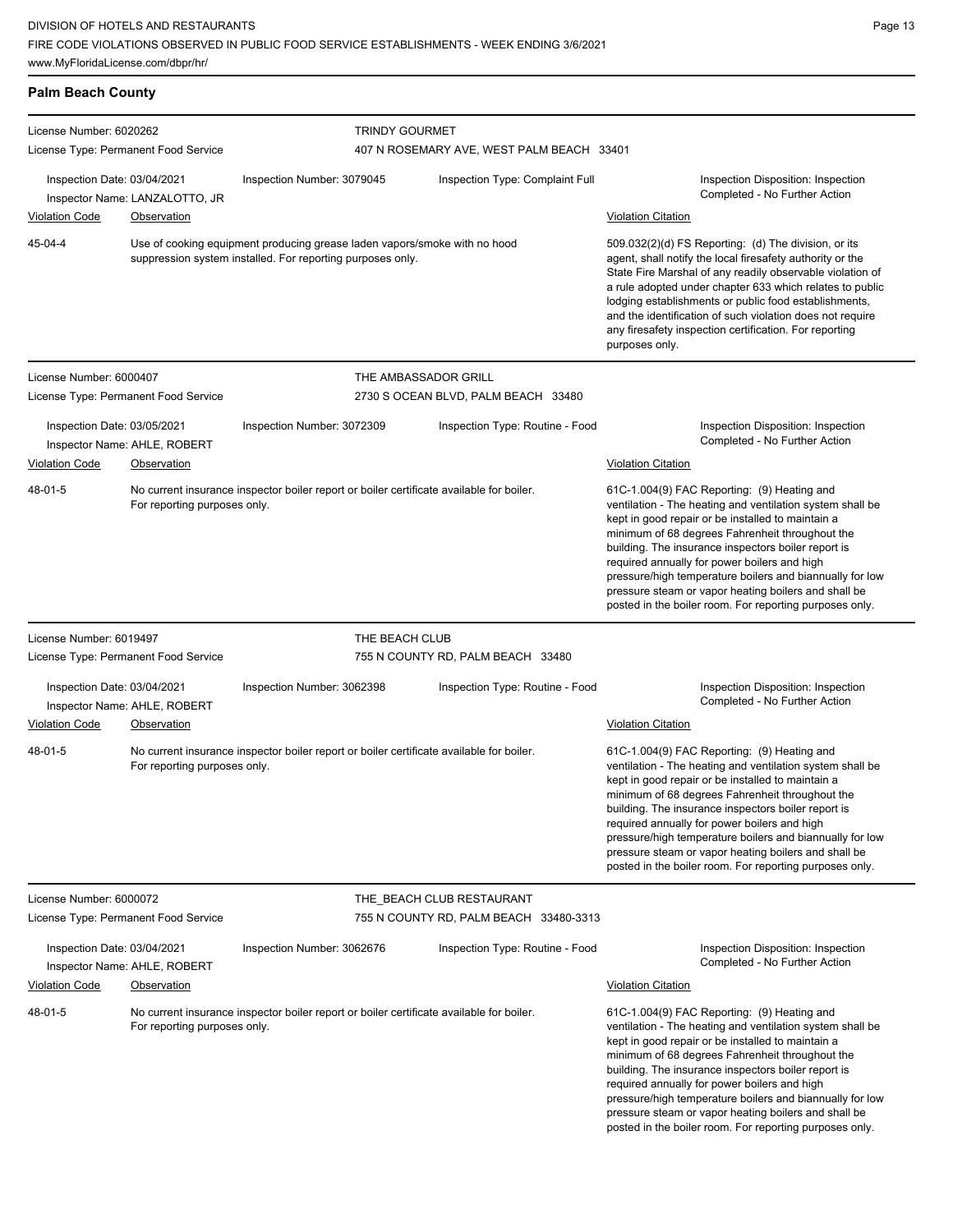| <b>Palm Beach County</b>                                                                                     |                                      |                                                                                                                                         |                                                                                                                                                                                                                                                                                                                                                                                                                                              |                                                                                                                                                                                                                                                                                                                                                                                                                                                                                                        |
|--------------------------------------------------------------------------------------------------------------|--------------------------------------|-----------------------------------------------------------------------------------------------------------------------------------------|----------------------------------------------------------------------------------------------------------------------------------------------------------------------------------------------------------------------------------------------------------------------------------------------------------------------------------------------------------------------------------------------------------------------------------------------|--------------------------------------------------------------------------------------------------------------------------------------------------------------------------------------------------------------------------------------------------------------------------------------------------------------------------------------------------------------------------------------------------------------------------------------------------------------------------------------------------------|
| License Number: 6020262                                                                                      |                                      | <b>TRINDY GOURMET</b>                                                                                                                   |                                                                                                                                                                                                                                                                                                                                                                                                                                              |                                                                                                                                                                                                                                                                                                                                                                                                                                                                                                        |
| License Type: Permanent Food Service                                                                         |                                      |                                                                                                                                         | 407 N ROSEMARY AVE, WEST PALM BEACH 33401                                                                                                                                                                                                                                                                                                                                                                                                    |                                                                                                                                                                                                                                                                                                                                                                                                                                                                                                        |
| Inspection Date: 03/04/2021<br>Inspector Name: LANZALOTTO, JR<br><b>Violation Code</b><br><b>Observation</b> |                                      | Inspection Number: 3079045                                                                                                              | Inspection Type: Complaint Full                                                                                                                                                                                                                                                                                                                                                                                                              | Inspection Disposition: Inspection<br>Completed - No Further Action<br><b>Violation Citation</b>                                                                                                                                                                                                                                                                                                                                                                                                       |
| 45-04-4                                                                                                      |                                      | Use of cooking equipment producing grease laden vapors/smoke with no hood<br>suppression system installed. For reporting purposes only. | 509.032(2)(d) FS Reporting: (d) The division, or its<br>agent, shall notify the local firesafety authority or the<br>State Fire Marshal of any readily observable violation of<br>a rule adopted under chapter 633 which relates to public<br>lodging establishments or public food establishments,<br>and the identification of such violation does not require<br>any firesafety inspection certification. For reporting<br>purposes only. |                                                                                                                                                                                                                                                                                                                                                                                                                                                                                                        |
| License Number: 6000407                                                                                      |                                      |                                                                                                                                         | THE AMBASSADOR GRILL                                                                                                                                                                                                                                                                                                                                                                                                                         |                                                                                                                                                                                                                                                                                                                                                                                                                                                                                                        |
|                                                                                                              | License Type: Permanent Food Service |                                                                                                                                         | 2730 S OCEAN BLVD, PALM BEACH 33480                                                                                                                                                                                                                                                                                                                                                                                                          |                                                                                                                                                                                                                                                                                                                                                                                                                                                                                                        |
| Inspection Date: 03/05/2021<br>Inspector Name: AHLE, ROBERT<br><b>Violation Code</b><br>Observation          |                                      | Inspection Number: 3072309                                                                                                              | Inspection Type: Routine - Food                                                                                                                                                                                                                                                                                                                                                                                                              | Inspection Disposition: Inspection<br>Completed - No Further Action<br><b>Violation Citation</b>                                                                                                                                                                                                                                                                                                                                                                                                       |
| 48-01-5                                                                                                      | For reporting purposes only.         | No current insurance inspector boiler report or boiler certificate available for boiler.                                                |                                                                                                                                                                                                                                                                                                                                                                                                                                              | 61C-1.004(9) FAC Reporting: (9) Heating and<br>ventilation - The heating and ventilation system shall be<br>kept in good repair or be installed to maintain a<br>minimum of 68 degrees Fahrenheit throughout the<br>building. The insurance inspectors boiler report is<br>required annually for power boilers and high<br>pressure/high temperature boilers and biannually for low<br>pressure steam or vapor heating boilers and shall be<br>posted in the boiler room. For reporting purposes only. |
| License Number: 6019497                                                                                      |                                      | THE BEACH CLUB                                                                                                                          |                                                                                                                                                                                                                                                                                                                                                                                                                                              |                                                                                                                                                                                                                                                                                                                                                                                                                                                                                                        |
|                                                                                                              | License Type: Permanent Food Service |                                                                                                                                         | 755 N COUNTY RD, PALM BEACH 33480                                                                                                                                                                                                                                                                                                                                                                                                            |                                                                                                                                                                                                                                                                                                                                                                                                                                                                                                        |
| Inspection Date: 03/04/2021<br>Inspector Name: AHLE, ROBERT                                                  |                                      | Inspection Number: 3062398                                                                                                              | Inspection Type: Routine - Food                                                                                                                                                                                                                                                                                                                                                                                                              | Inspection Disposition: Inspection<br>Completed - No Further Action                                                                                                                                                                                                                                                                                                                                                                                                                                    |
| <b>Violation Code</b>                                                                                        | <b>Observation</b>                   |                                                                                                                                         |                                                                                                                                                                                                                                                                                                                                                                                                                                              | <b>Violation Citation</b>                                                                                                                                                                                                                                                                                                                                                                                                                                                                              |
| 48-01-5                                                                                                      | For reporting purposes only.         | No current insurance inspector boiler report or boiler certificate available for boiler.                                                |                                                                                                                                                                                                                                                                                                                                                                                                                                              | 61C-1.004(9) FAC Reporting: (9) Heating and<br>ventilation - The heating and ventilation system shall be<br>kept in good repair or be installed to maintain a<br>minimum of 68 degrees Fahrenheit throughout the<br>building. The insurance inspectors boiler report is<br>required annually for power boilers and high<br>pressure/high temperature boilers and biannually for low<br>pressure steam or vapor heating boilers and shall be<br>posted in the boiler room. For reporting purposes only. |
| License Number: 6000072                                                                                      |                                      |                                                                                                                                         | THE BEACH CLUB RESTAURANT                                                                                                                                                                                                                                                                                                                                                                                                                    |                                                                                                                                                                                                                                                                                                                                                                                                                                                                                                        |
|                                                                                                              | License Type: Permanent Food Service |                                                                                                                                         | 755 N COUNTY RD, PALM BEACH 33480-3313                                                                                                                                                                                                                                                                                                                                                                                                       |                                                                                                                                                                                                                                                                                                                                                                                                                                                                                                        |
| Inspection Date: 03/04/2021<br>Inspector Name: AHLE, ROBERT                                                  |                                      | Inspection Type: Routine - Food<br>Inspection Number: 3062676                                                                           |                                                                                                                                                                                                                                                                                                                                                                                                                                              | Inspection Disposition: Inspection<br>Completed - No Further Action                                                                                                                                                                                                                                                                                                                                                                                                                                    |
| <b>Violation Code</b>                                                                                        | <b>Observation</b>                   |                                                                                                                                         |                                                                                                                                                                                                                                                                                                                                                                                                                                              | <b>Violation Citation</b>                                                                                                                                                                                                                                                                                                                                                                                                                                                                              |
| 48-01-5<br>For reporting purposes only.                                                                      |                                      | No current insurance inspector boiler report or boiler certificate available for boiler.                                                |                                                                                                                                                                                                                                                                                                                                                                                                                                              | 61C-1.004(9) FAC Reporting: (9) Heating and<br>ventilation - The heating and ventilation system shall be<br>kept in good repair or be installed to maintain a<br>minimum of 68 degrees Fahrenheit throughout the<br>building. The insurance inspectors boiler report is<br>required annually for power boilers and high<br>pressure/high temperature boilers and biannually for low<br>pressure steam or vapor heating boilers and shall be<br>posted in the boiler room. For reporting purposes only. |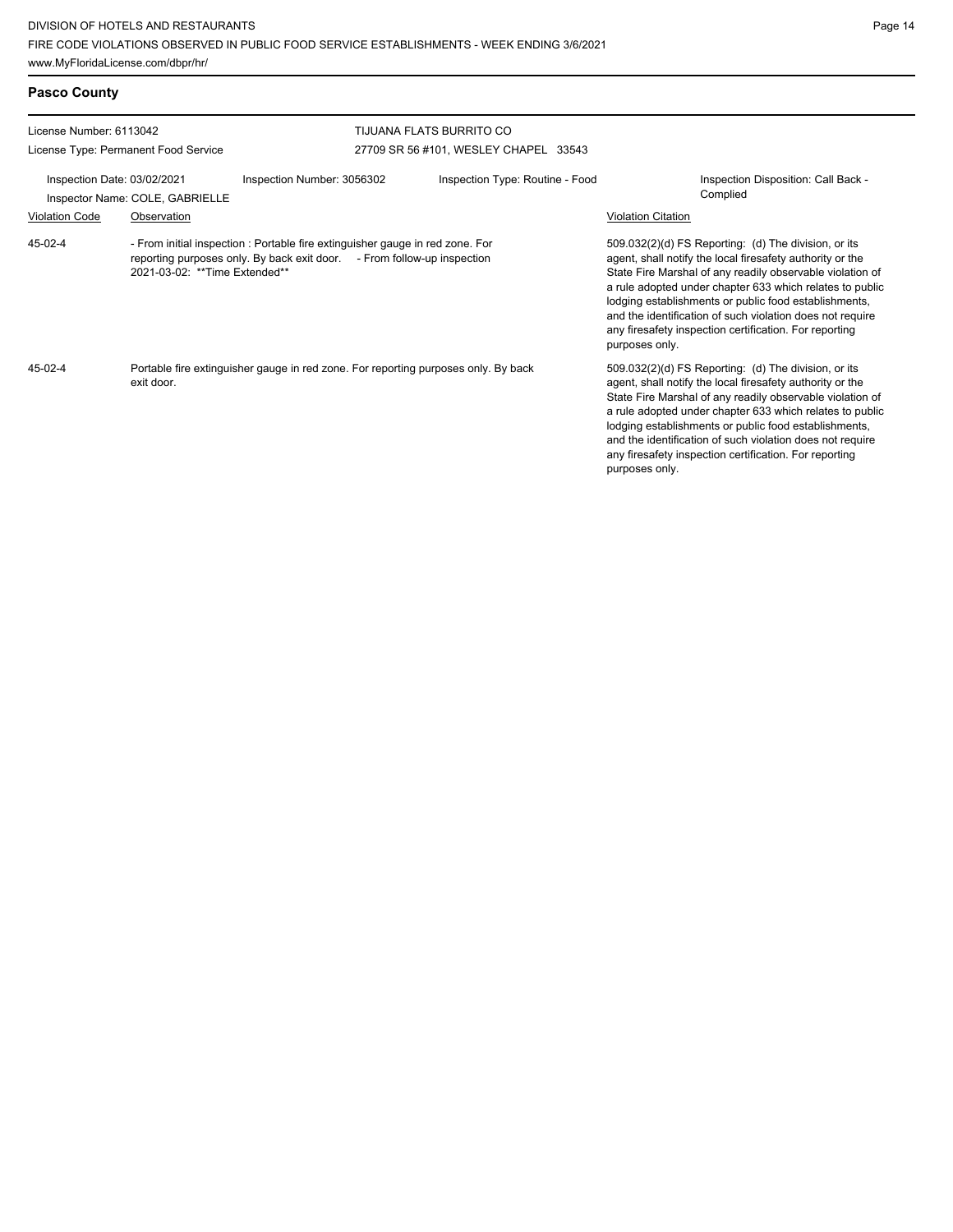**Pasco County**

| License Number: 6113042                                                                      |                                                                                                                                                                                            | TIJUANA FLATS BURRITO CO |                                                                                                                                                                                                                                                                                                                                                                                                                                              |                                                 |                                                                                                                                                                                                                                                                                                                                                                                                                                              |  |  |
|----------------------------------------------------------------------------------------------|--------------------------------------------------------------------------------------------------------------------------------------------------------------------------------------------|--------------------------|----------------------------------------------------------------------------------------------------------------------------------------------------------------------------------------------------------------------------------------------------------------------------------------------------------------------------------------------------------------------------------------------------------------------------------------------|-------------------------------------------------|----------------------------------------------------------------------------------------------------------------------------------------------------------------------------------------------------------------------------------------------------------------------------------------------------------------------------------------------------------------------------------------------------------------------------------------------|--|--|
| License Type: Permanent Food Service                                                         |                                                                                                                                                                                            |                          | 27709 SR 56 #101, WESLEY CHAPEL 33543                                                                                                                                                                                                                                                                                                                                                                                                        |                                                 |                                                                                                                                                                                                                                                                                                                                                                                                                                              |  |  |
| Inspection Date: 03/02/2021<br>Inspection Number: 3056302<br>Inspector Name: COLE, GABRIELLE |                                                                                                                                                                                            |                          | Inspection Type: Routine - Food                                                                                                                                                                                                                                                                                                                                                                                                              | Inspection Disposition: Call Back -<br>Complied |                                                                                                                                                                                                                                                                                                                                                                                                                                              |  |  |
| <b>Violation Code</b><br>Observation                                                         |                                                                                                                                                                                            |                          |                                                                                                                                                                                                                                                                                                                                                                                                                                              |                                                 | <b>Violation Citation</b>                                                                                                                                                                                                                                                                                                                                                                                                                    |  |  |
| $45-02-4$                                                                                    | - From initial inspection : Portable fire extinguisher gauge in red zone. For<br>reporting purposes only. By back exit door. - From follow-up inspection<br>2021-03-02: ** Time Extended** |                          |                                                                                                                                                                                                                                                                                                                                                                                                                                              |                                                 | 509.032(2)(d) FS Reporting: (d) The division, or its<br>agent, shall notify the local firesafety authority or the<br>State Fire Marshal of any readily observable violation of<br>a rule adopted under chapter 633 which relates to public<br>lodging establishments or public food establishments,<br>and the identification of such violation does not require<br>any firesafety inspection certification. For reporting<br>purposes only. |  |  |
| $45-02-4$                                                                                    | Portable fire extinguisher gauge in red zone. For reporting purposes only. By back<br>exit door.                                                                                           |                          | 509.032(2)(d) FS Reporting: (d) The division, or its<br>agent, shall notify the local firesafety authority or the<br>State Fire Marshal of any readily observable violation of<br>a rule adopted under chapter 633 which relates to public<br>lodging establishments or public food establishments,<br>and the identification of such violation does not require<br>any firesafety inspection certification. For reporting<br>purposes only. |                                                 |                                                                                                                                                                                                                                                                                                                                                                                                                                              |  |  |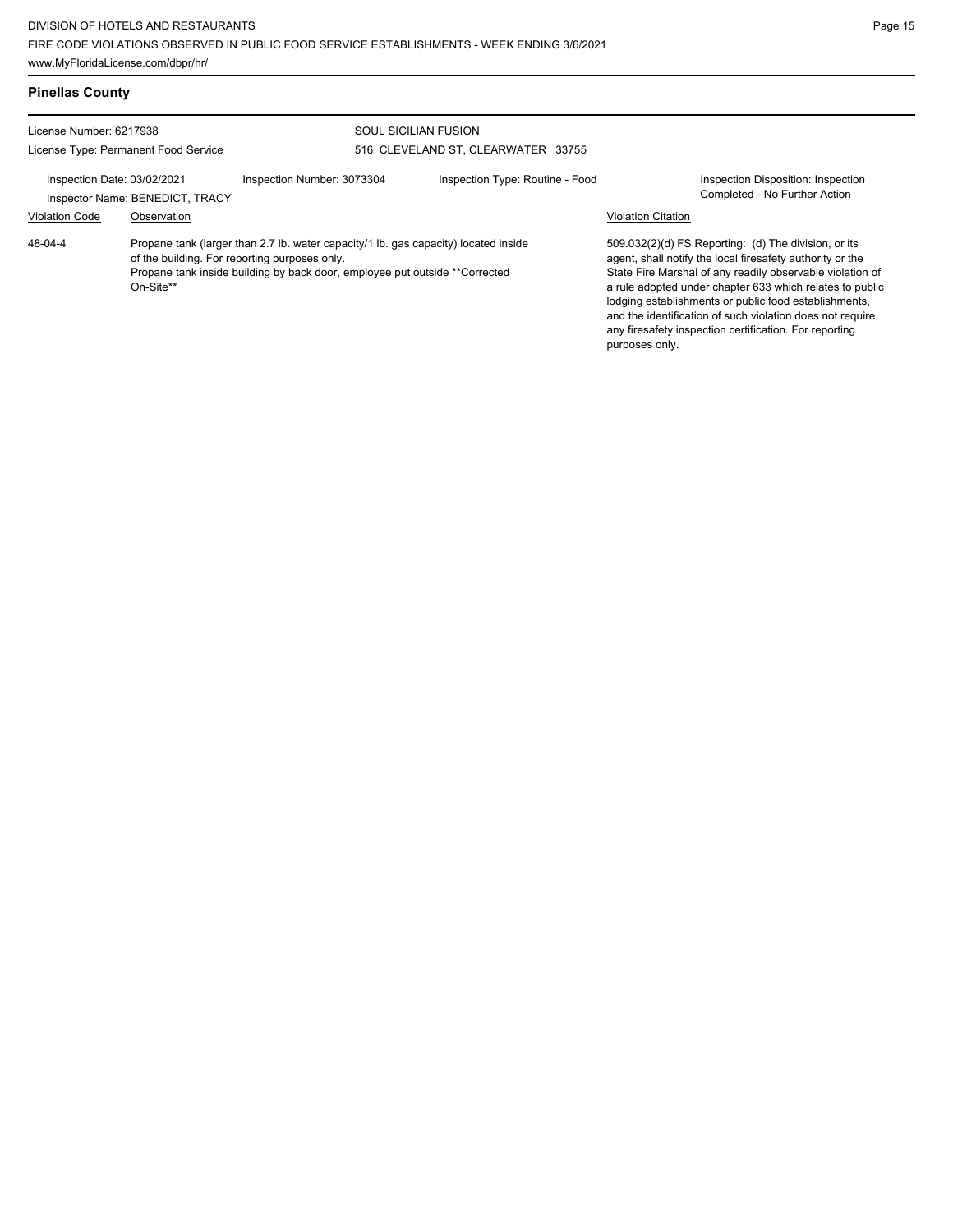| <b>Pinellas County</b>                                                                                                                                                                                                                      |                                                |                            |                                                            |                           |                                                                                                                                                                                                                                                                                                                                                                                                                            |
|---------------------------------------------------------------------------------------------------------------------------------------------------------------------------------------------------------------------------------------------|------------------------------------------------|----------------------------|------------------------------------------------------------|---------------------------|----------------------------------------------------------------------------------------------------------------------------------------------------------------------------------------------------------------------------------------------------------------------------------------------------------------------------------------------------------------------------------------------------------------------------|
| License Number: 6217938<br>License Type: Permanent Food Service                                                                                                                                                                             |                                                |                            | SOUL SICILIAN FUSION<br>516 CLEVELAND ST, CLEARWATER 33755 |                           |                                                                                                                                                                                                                                                                                                                                                                                                                            |
| Inspection Date: 03/02/2021<br><b>Violation Code</b>                                                                                                                                                                                        | Inspector Name: BENEDICT, TRACY<br>Observation | Inspection Number: 3073304 | Inspection Type: Routine - Food                            | <b>Violation Citation</b> | Inspection Disposition: Inspection<br>Completed - No Further Action                                                                                                                                                                                                                                                                                                                                                        |
| 48-04-4<br>Propane tank (larger than 2.7 lb. water capacity/1 lb. gas capacity) located inside<br>of the building. For reporting purposes only.<br>Propane tank inside building by back door, employee put outside **Corrected<br>On-Site** |                                                |                            |                                                            | purposes only.            | 509.032(2)(d) FS Reporting: (d) The division, or its<br>agent, shall notify the local firesafety authority or the<br>State Fire Marshal of any readily observable violation of<br>a rule adopted under chapter 633 which relates to public<br>lodging establishments or public food establishments,<br>and the identification of such violation does not require<br>any firesafety inspection certification. For reporting |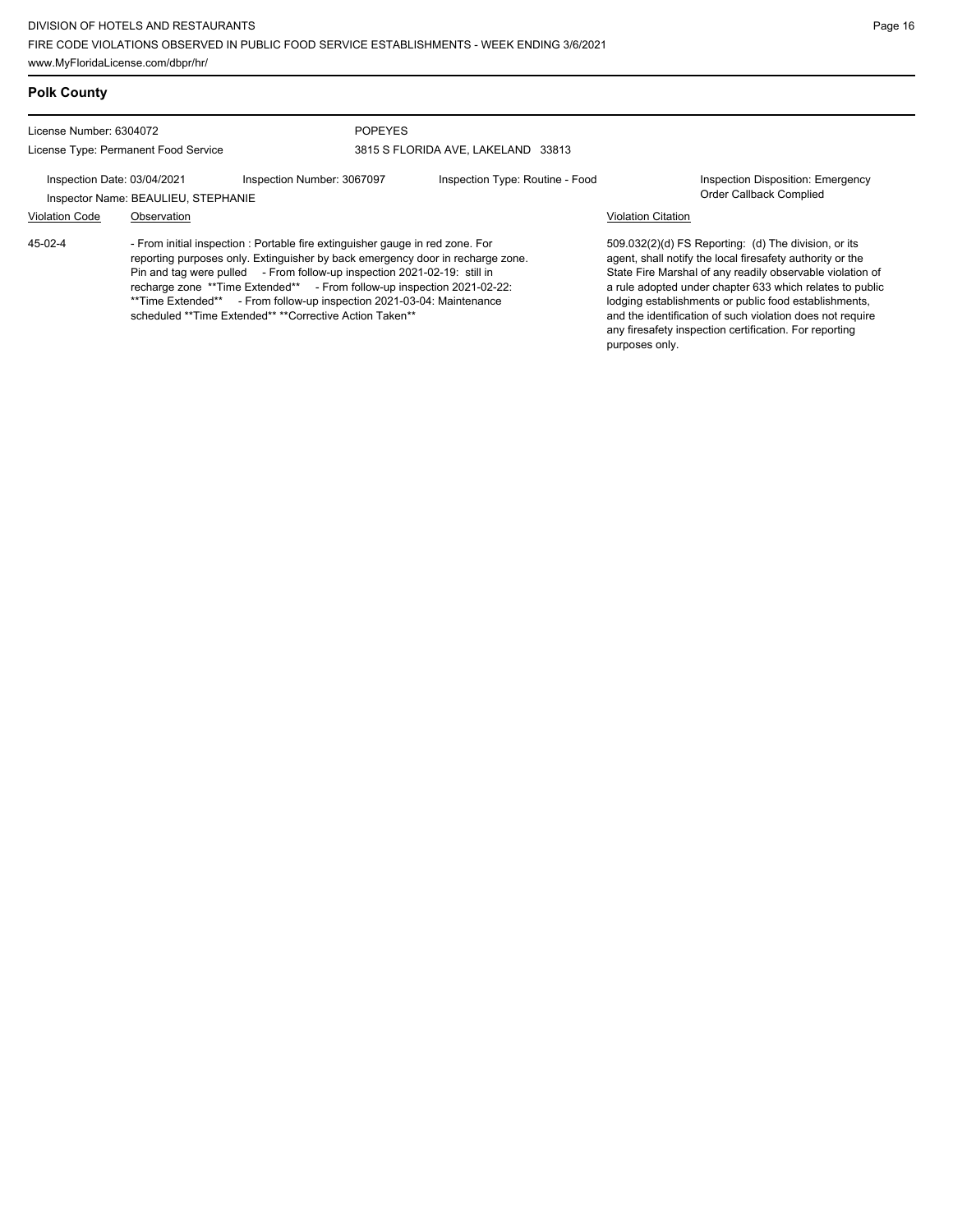### **Polk County**

License Number: 6304072

License Type: Permanent Food Service

### POPEYES 3815 S FLORIDA AVE, LAKELAND 33813

Inspection Date: 03/04/2021 Inspection Number: 3067097 Inspection Type: Routine - Food Inspection Disposition: Emergency

Inspector Name: BEAULIEU, STEPHANIE

# Violation Code Observation Violation Citation

45-02-4

- From initial inspection : Portable fire extinguisher gauge in red zone. For reporting purposes only. Extinguisher by back emergency door in recharge zone. Pin and tag were pulled - From follow-up inspection 2021-02-19: still in recharge zone \*\*Time Extended\*\* - From follow-up inspection 2021-02-22: \*\*Time Extended\*\* - From follow-up inspection 2021-03-04: Maintenance scheduled \*\*Time Extended\*\* \*\*Corrective Action Taken\*\*

509.032(2)(d) FS Reporting: (d) The division, or its agent, shall notify the local firesafety authority or the State Fire Marshal of any readily observable violation of a rule adopted under chapter 633 which relates to public lodging establishments or public food establishments, and the identification of such violation does not require any firesafety inspection certification. For reporting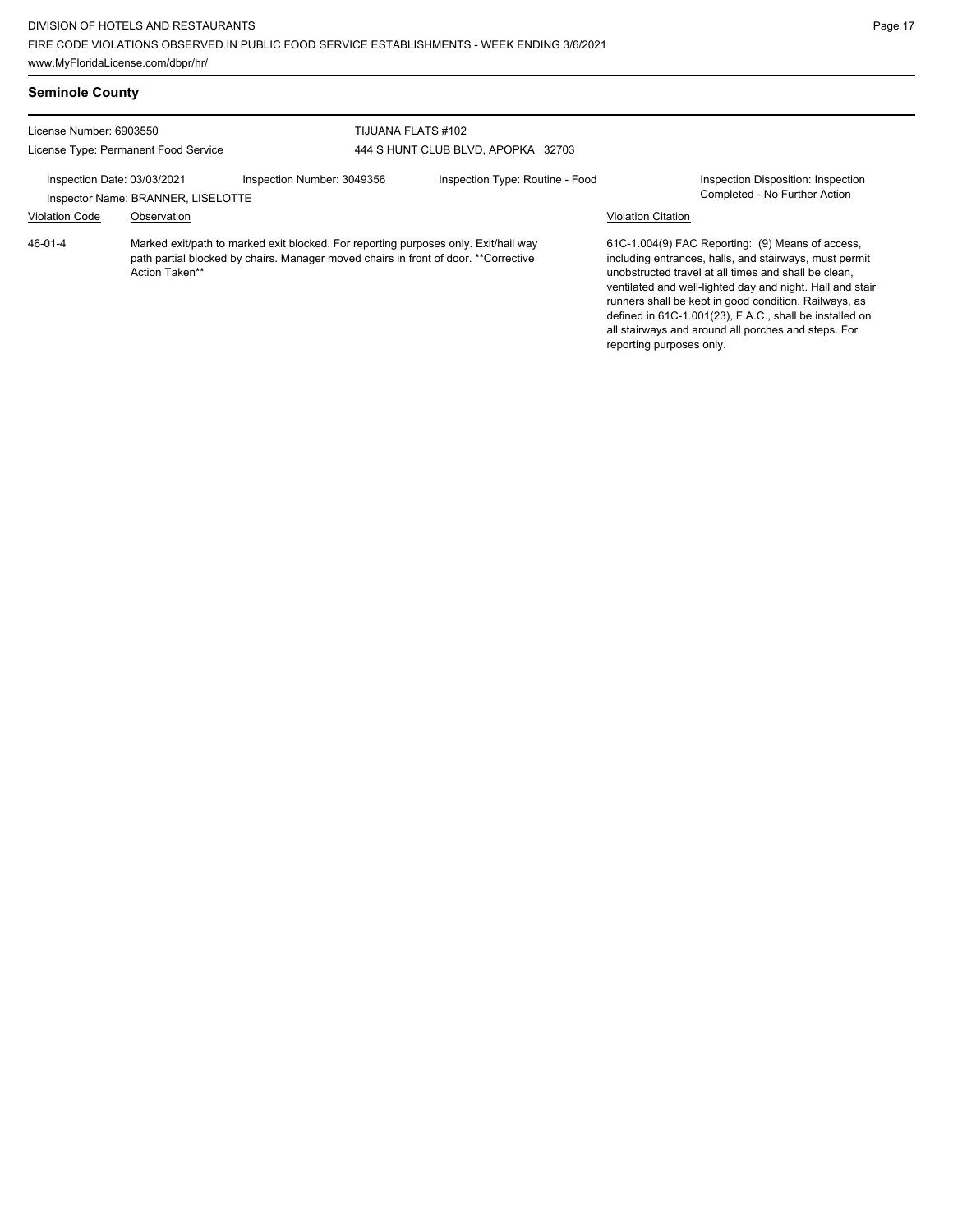| <b>Seminole County</b>                                          |                                                   |                                                                                                                                                                            |                                    |                                                                                                                                                                                                                                                                                                                                                                                                            |                                                                     |
|-----------------------------------------------------------------|---------------------------------------------------|----------------------------------------------------------------------------------------------------------------------------------------------------------------------------|------------------------------------|------------------------------------------------------------------------------------------------------------------------------------------------------------------------------------------------------------------------------------------------------------------------------------------------------------------------------------------------------------------------------------------------------------|---------------------------------------------------------------------|
| License Number: 6903550<br>License Type: Permanent Food Service |                                                   | TIJUANA FLATS #102                                                                                                                                                         | 444 S HUNT CLUB BLVD, APOPKA 32703 |                                                                                                                                                                                                                                                                                                                                                                                                            |                                                                     |
| Inspection Date: 03/03/2021<br><b>Violation Code</b>            | Inspector Name: BRANNER, LISELOTTE<br>Observation | Inspection Number: 3049356                                                                                                                                                 | Inspection Type: Routine - Food    | <b>Violation Citation</b>                                                                                                                                                                                                                                                                                                                                                                                  | Inspection Disposition: Inspection<br>Completed - No Further Action |
| 46-01-4                                                         | Action Taken**                                    | Marked exit/path to marked exit blocked. For reporting purposes only. Exit/hail way<br>path partial blocked by chairs. Manager moved chairs in front of door. **Corrective |                                    | 61C-1.004(9) FAC Reporting: (9) Means of access,<br>including entrances, halls, and stairways, must permit<br>unobstructed travel at all times and shall be clean.<br>ventilated and well-lighted day and night. Hall and stair<br>runners shall be kept in good condition. Railways, as<br>defined in 61C-1.001(23), F.A.C., shall be installed on<br>all stairways and around all porches and steps. For |                                                                     |

reporting purposes only.